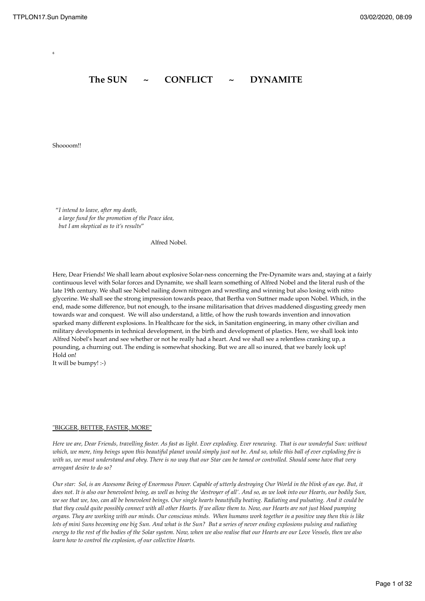6

# The SUN ~ CONFLICT ~ DYNAMITE

Shoooom!!

 "*I intend to leave, after my death, a large fund for the promotion of the Peace idea, but I am skeptical as to it's results*"

Alfred Nobel.

Here, Dear Friends! We shall learn about explosive Solar-ness concerning the Pre-Dynamite wars and, staying at a fairly continuous level with Solar forces and Dynamite, we shall learn something of Alfred Nobel and the literal rush of the late 19th century. We shall see Nobel nailing down nitrogen and wrestling and winning but also losing with nitro glycerine. We shall see the strong impression towards peace, that Bertha von Suttner made upon Nobel. Which, in the end, made some difference, but not enough, to the insane militarisation that drives maddened disgusting greedy men towards war and conquest. We will also understand, a little, of how the rush towards invention and innovation sparked many different explosions. In Healthcare for the sick, in Sanitation engineering, in many other civilian and military developments in technical development, in the birth and development of plastics. Here, we shall look into Alfred Nobel's heart and see whether or not he really had a heart. And we shall see a relentless cranking up, a pounding, a churning out. The ending is somewhat shocking. But we are all so inured, that we barely look up! Hold on!

It will be bumpy! :-)

#### "BIGGER, BETTER, FASTER, MORE"

*Here we are, Dear Friends, travelling faster. As fast as light. Ever exploding. Ever renewing. That is our wonderful Sun: without*  which, we mere, tiny beings upon this beautiful planet would simply just not be. And so, while this ball of ever exploding fire is *with us, we must understand and obey. There is no way that our Star can be tamed or controlled. Should some have that very arrogant desire to do so?* 

*Our star: Sol, is an Awesome Being of Enormous Power. Capable of utterly destroying Our World in the blink of an eye. But, it does not. It is also our benevolent being, as well as being the 'destroyer of all'. And so, as we look into our Hearts, our bodily Sun, we see that we, too, can all be benevolent beings. Our single hearts beautifully beating. Radiating and pulsating. And it could be that they could quite possibly connect with all other Hearts. If we allow them to. Now, our Hearts are not just blood pumping organs. They are working with our minds. Our conscious minds. When humans work together in a positive way then this is like lots of mini Suns becoming one big Sun. And what is the Sun? But a series of never ending explosions pulsing and radiating energy to the rest of the bodies of the Solar system. Now, when we also realise that our Hearts are our Love Vessels, then we also learn how to control the explosion, of our collective Hearts.*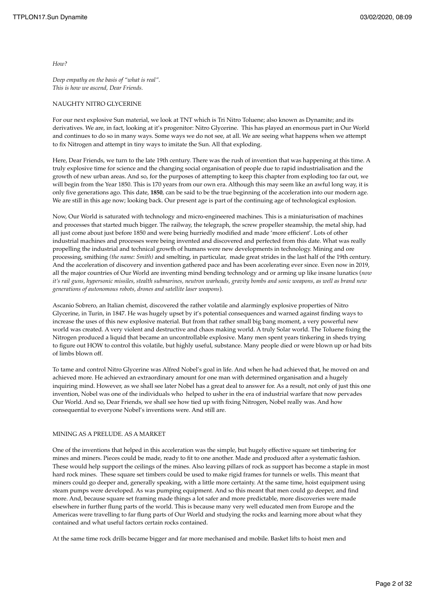*How?* 

*Deep empathy on the basis of "what is real". This is how we ascend, Dear Friends.* 

### NAUGHTY NITRO GLYCERINE

For our next explosive Sun material, we look at TNT which is Tri Nitro Toluene; also known as Dynamite; and its derivatives. We are, in fact, looking at it's progenitor: Nitro Glycerine. This has played an enormous part in Our World and continues to do so in many ways. Some ways we do not see, at all. We are seeing what happens when we attempt to fix Nitrogen and attempt in tiny ways to imitate the Sun. All that exploding.

Here, Dear Friends, we turn to the late 19th century. There was the rush of invention that was happening at this time. A truly explosive time for science and the changing social organisation of people due to rapid industrialisation and the growth of new urban areas. And so, for the purposes of attempting to keep this chapter from exploding too far out, we will begin from the Year 1850. This is 170 years from our own era. Although this may seem like an awful long way, it is only five generations ago. This date, **1850**, can be said to be the true beginning of the acceleration into our modern age. We are still in this age now; looking back. Our present age is part of the continuing age of technological explosion.

Now, Our World is saturated with technology and micro-engineered machines. This is a miniaturisation of machines and processes that started much bigger. The railway, the telegraph, the screw propeller steamship, the metal ship, had all just come about just before 1850 and were being hurriedly modified and made 'more efficient'. Lots of other industrial machines and processes were being invented and discovered and perfected from this date. What was really propelling the industrial and technical growth of humans were new developments in technology. Mining and ore processing, smithing *(the name: Smith)* and smelting, in particular, made great strides in the last half of the 19th century. And the acceleration of discovery and invention gathered pace and has been accelerating ever since. Even now in 2019, all the major countries of Our World are inventing mind bending technology and or arming up like insane lunatics (*now it's rail guns, hypersonic missiles, stealth submarines, neutron warheads, gravity bombs and sonic weapons, as well as brand new generations of autonomous robots, drones and satellite laser weapons*).

Ascanio Sobrero, an Italian chemist, discovered the rather volatile and alarmingly explosive properties of Nitro Glycerine, in Turin, in 1847. He was hugely upset by it's potential consequences and warned against finding ways to increase the uses of this new explosive material. But from that rather small big bang moment, a very powerful new world was created. A very violent and destructive and chaos making world. A truly Solar world. The Toluene fixing the Nitrogen produced a liquid that became an uncontrollable explosive. Many men spent years tinkering in sheds trying to figure out HOW to control this volatile, but highly useful, substance. Many people died or were blown up or had bits of limbs blown off.

To tame and control Nitro Glycerine was Alfred Nobel's goal in life. And when he had achieved that, he moved on and achieved more. He achieved an extraordinary amount for one man with determined organisation and a hugely inquiring mind. However, as we shall see later Nobel has a great deal to answer for. As a result, not only of just this one invention, Nobel was one of the individuals who helped to usher in the era of industrial warfare that now pervades Our World. And so, Dear Friends, we shall see how tied up with fixing Nitrogen, Nobel really was. And how consequential to everyone Nobel's inventions were. And still are.

#### MINING AS A PRELUDE. AS A MARKET

One of the inventions that helped in this acceleration was the simple, but hugely effective square set timbering for mines and miners. Pieces could be made, ready to fit to one another. Made and produced after a systematic fashion. These would help support the ceilings of the mines. Also leaving pillars of rock as support has become a staple in most hard rock mines. These square set timbers could be used to make rigid frames for tunnels or wells. This meant that miners could go deeper and, generally speaking, with a little more certainty. At the same time, hoist equipment using steam pumps were developed. As was pumping equipment. And so this meant that men could go deeper, and find more. And, because square set framing made things a lot safer and more predictable, more discoveries were made elsewhere in further flung parts of the world. This is because many very well educated men from Europe and the Americas were travelling to far flung parts of Our World and studying the rocks and learning more about what they contained and what useful factors certain rocks contained.

At the same time rock drills became bigger and far more mechanised and mobile. Basket lifts to hoist men and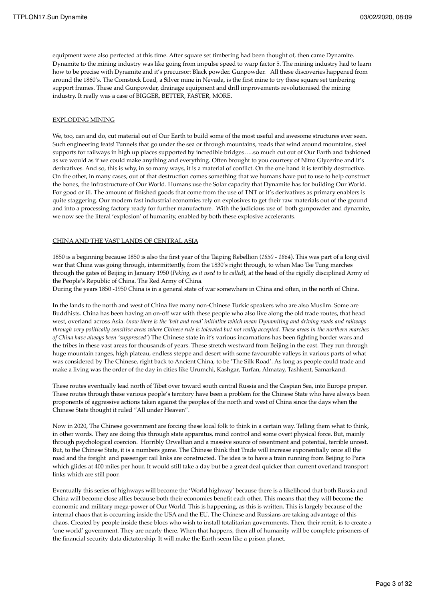equipment were also perfected at this time. After square set timbering had been thought of, then came Dynamite. Dynamite to the mining industry was like going from impulse speed to warp factor 5. The mining industry had to learn how to be precise with Dynamite and it's precursor: Black powder. Gunpowder. All these discoveries happened from around the 1860's. The Comstock Load, a Silver mine in Nevada, is the first mine to try these square set timbering support frames. These and Gunpowder, drainage equipment and drill improvements revolutionised the mining industry. It really was a case of BIGGER, BETTER, FASTER, MORE.

### EXPLODING MINING

We, too, can and do, cut material out of Our Earth to build some of the most useful and awesome structures ever seen. Such engineering feats! Tunnels that go under the sea or through mountains, roads that wind around mountains, steel supports for railways in high up places supported by incredible bridges…..so much cut out of Our Earth and fashioned as we would as if we could make anything and everything. Often brought to you courtesy of Nitro Glycerine and it's derivatives. And so, this is why, in so many ways, it is a material of conflict. On the one hand it is terribly destructive. On the other, in many cases, out of that destruction comes something that we humans have put to use to help construct the bones, the infrastructure of Our World. Humans use the Solar capacity that Dynamite has for building Our World. For good or ill. The amount of finished goods that come from the use of TNT or it's derivatives as primary enablers is quite staggering. Our modern fast industrial economies rely on explosives to get their raw materials out of the ground and into a processing factory ready for further manufacture. With the judicious use of both gunpowder and dynamite, we now see the literal 'explosion' of humanity, enabled by both these explosive accelerants.

### CHINA AND THE VAST LANDS OF CENTRAL ASIA

1850 is a beginning because 1850 is also the first year of the Taiping Rebellion (*1850 - 1864*). This was part of a long civil war that China was going through, intermittently, from the 1830's right through, to when Mao Tse Tung marches through the gates of Beijing in January 1950 (*Peking, as it used to be called*), at the head of the rigidly disciplined Army of the People's Republic of China. The Red Army of China.

During the years 1850 -1950 China is in a general state of war somewhere in China and often, in the north of China.

In the lands to the north and west of China live many non-Chinese Turkic speakers who are also Muslim. Some are Buddhists. China has been having an on-off war with these people who also live along the old trade routes, that head west, overland across Asia. *(now there is the 'belt and road' initiative which mean Dynamiting and driving roads and railways through very politically sensitive areas where Chinese rule is tolerated but not really accepted. These areas in the northern marches of China have always been 'suppressed'*) The Chinese state in it's various incarnations has been fighting border wars and the tribes in these vast areas for thousands of years. These stretch westward from Beijing in the east. They run through huge mountain ranges, high plateau, endless steppe and desert with some favourable valleys in various parts of what was considered by The Chinese, right back to Ancient China, to be 'The Silk Road'. As long as people could trade and make a living was the order of the day in cities like Urumchi, Kashgar, Turfan, Almatay, Tashkent, Samarkand.

These routes eventually lead north of Tibet over toward south central Russia and the Caspian Sea, into Europe proper. These routes through these various people's territory have been a problem for the Chinese State who have always been proponents of aggressive actions taken against the peoples of the north and west of China since the days when the Chinese State thought it ruled "All under Heaven".

Now in 2020, The Chinese government are forcing these local folk to think in a certain way. Telling them what to think, in other words. They are doing this through state apparatus, mind control and some overt physical force. But, mainly through psychological coercion. Horribly Orwellian and a massive source of resentment and potential, terrible unrest. But, to the Chinese State, it is a numbers game. The Chinese think that Trade will increase exponentially once all the road and the freight and passenger rail links are constructed. The idea is to have a train running from Beijing to Paris which glides at 400 miles per hour. It would still take a day but be a great deal quicker than current overland transport links which are still poor.

Eventually this series of highways will become the 'World highway' because there is a likelihood that both Russia and China will become close allies because both their economies benefit each other. This means that they will become the economic and military mega-power of Our World. This is happening, as this is written. This is largely because of the internal chaos that is occurring inside the USA and the EU. The Chinese and Russians are taking advantage of this chaos. Created by people inside these blocs who wish to install totalitarian governments. Then, their remit, is to create a 'one world' government. They are nearly there. When that happens, then all of humanity will be complete prisoners of the financial security data dictatorship. It will make the Earth seem like a prison planet.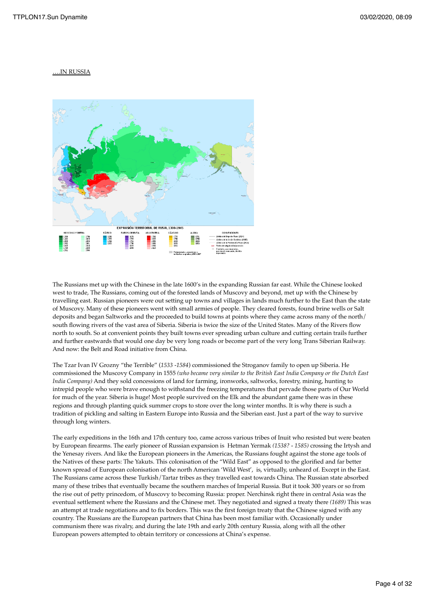### ….IN RUSSIA



The Russians met up with the Chinese in the late 1600's in the expanding Russian far east. While the Chinese looked west to trade, The Russians, coming out of the forested lands of Muscovy and beyond, met up with the Chinese by travelling east. Russian pioneers were out setting up towns and villages in lands much further to the East than the state of Muscovy. Many of these pioneers went with small armies of people. They cleared forests, found brine wells or Salt deposits and began Saltworks and the proceeded to build towns at points where they came across many of the north/ south flowing rivers of the vast area of Siberia. Siberia is twice the size of the United States. Many of the Rivers flow north to south. So at convenient points they built towns ever spreading urban culture and cutting certain trails further and further eastwards that would one day be very long roads or become part of the very long Trans Siberian Railway. And now: the Belt and Road initiative from China.

The Tzar Ivan IV Grozny "the Terrible" (*1533 -1584*) commissioned the Stroganov family to open up Siberia. He commissioned the Muscovy Company in 1555 *(who became very similar to the British East India Company or the Dutch East India Company)* And they sold concessions of land for farming, ironworks, saltworks, forestry, mining, hunting to intrepid people who were brave enough to withstand the freezing temperatures that pervade those parts of Our World for much of the year. Siberia is huge! Most people survived on the Elk and the abundant game there was in these regions and through planting quick summer crops to store over the long winter months. It is why there is such a tradition of pickling and salting in Eastern Europe into Russia and the Siberian east. Just a part of the way to survive through long winters.

The early expeditions in the 16th and 17th century too, came across various tribes of Inuit who resisted but were beaten by European firearms. The early pioneer of Russian expansion is Hetman Yermak *(1538? - 1585)* crossing the Irtysh and the Yenesay rivers. And like the European pioneers in the Americas, the Russians fought against the stone age tools of the Natives of these parts: The Yakuts. This colonisation of the "Wild East" as opposed to the glorified and far better known spread of European colonisation of the north American 'Wild West', is, virtually, unheard of. Except in the East. The Russians came across these Turkish/Tartar tribes as they travelled east towards China. The Russian state absorbed many of these tribes that eventually became the southern marches of Imperial Russia. But it took 300 years or so from the rise out of petty princedom, of Muscovy to becoming Russia: proper. Nerchinsk right there in central Asia was the eventual settlement where the Russians and the Chinese met. They negotiated and signed a treaty there *(1689)* This was an attempt at trade negotiations and to fix borders. This was the first foreign treaty that the Chinese signed with any country. The Russians are the European partners that China has been most familiar with. Occasionally under communism there was rivalry, and during the late 19th and early 20th century Russia, along with all the other European powers attempted to obtain territory or concessions at China's expense.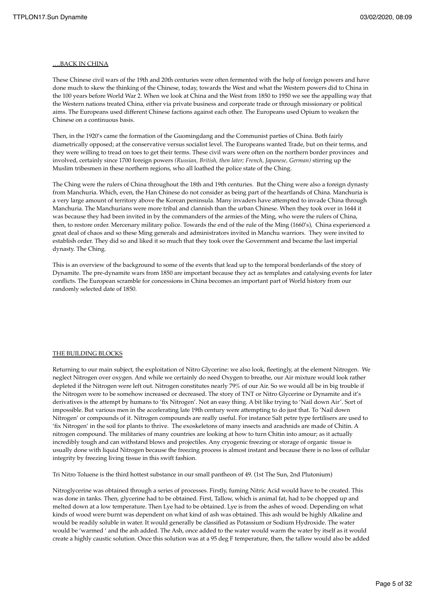### ….BACK IN CHINA

These Chinese civil wars of the 19th and 20th centuries were often fermented with the help of foreign powers and have done much to skew the thinking of the Chinese, today, towards the West and what the Western powers did to China in the 100 years before World War 2. When we look at China and the West from 1850 to 1950 we see the appalling way that the Western nations treated China, either via private business and corporate trade or through missionary or political aims. The Europeans used different Chinese factions against each other. The Europeans used Opium to weaken the Chinese on a continuous basis.

Then, in the 1920's came the formation of the Guomingdang and the Communist parties of China. Both fairly diametrically opposed; at the conservative versus socialist level. The Europeans wanted Trade, but on their terms, and they were willing to tread on toes to get their terms. These civil wars were often on the northern border provinces and involved, certainly since 1700 foreign powers *(Russian, British, then later; French, Japanese, German)* stirring up the Muslim tribesmen in these northern regions, who all loathed the police state of the Ching.

The Ching were the rulers of China throughout the 18th and 19th centuries. But the Ching were also a foreign dynasty from Manchuria. Which, even, the Han Chinese do not consider as being part of the heartlands of China. Manchuria is a very large amount of territory above the Korean peninsula. Many invaders have attempted to invade China through Manchuria. The Manchurians were more tribal and clannish than the urban Chinese. When they took over in 1644 it was because they had been invited in by the commanders of the armies of the Ming, who were the rulers of China, then, to restore order. Mercenary military police. Towards the end of the rule of the Ming (1660's), China experienced a great deal of chaos and so these Ming generals and administrators invited in Manchu warriors. They were invited to establish order. They did so and liked it so much that they took over the Government and became the last imperial dynasty. The Ching.

This is an overview of the background to some of the events that lead up to the temporal borderlands of the story of Dynamite. The pre-dynamite wars from 1850 are important because they act as templates and catalysing events for later conflicts. The European scramble for concessions in China becomes an important part of World history from our randomly selected date of 1850.

### THE BUILDING BLOCKS

Returning to our main subject, the exploitation of Nitro Glycerine: we also look, fleetingly, at the element Nitrogen. We neglect Nitrogen over oxygen. And while we certainly do need Oxygen to breathe, our Air mixture would look rather depleted if the Nitrogen were left out. Nitrogen constitutes nearly 79% of our Air. So we would all be in big trouble if the Nitrogen were to be somehow increased or decreased. The story of TNT or Nitro Glycerine or Dynamite and it's derivatives is the attempt by humans to 'fix Nitrogen'. Not an easy thing. A bit like trying to 'Nail down Air'. Sort of impossible. But various men in the accelerating late 19th century were attempting to do just that. To 'Nail down Nitrogen' or compounds of it. Nitrogen compounds are really useful. For instance Salt petre type fertilisers are used to 'fix Nitrogen' in the soil for plants to thrive. The exoskeletons of many insects and arachnids are made of Chitin. A nitrogen compound. The militaries of many countries are looking at how to turn Chitin into amour; as it actually incredibly tough and can withstand blows and projectiles. Any cryogenic freezing or storage of organic tissue is usually done with liquid Nitrogen because the freezing process is almost instant and because there is no loss of cellular integrity by freezing living tissue in this swift fashion.

Tri Nitro Toluene is the third hottest substance in our small pantheon of 49. (1st The Sun, 2nd Plutonium)

Nitroglycerine was obtained through a series of processes. Firstly, fuming Nitric Acid would have to be created. This was done in tanks. Then, glycerine had to be obtained. First, Tallow, which is animal fat, had to be chopped up and melted down at a low temperature. Then Lye had to be obtained. Lye is from the ashes of wood. Depending on what kinds of wood were burnt was dependent on what kind of ash was obtained. This ash would be highly Alkaline and would be readily soluble in water. It would generally be classified as Potassium or Sodium Hydroxide. The water would be 'warmed ' and the ash added. The Ash, once added to the water would warm the water by itself as it would create a highly caustic solution. Once this solution was at a 95 deg F temperature, then, the tallow would also be added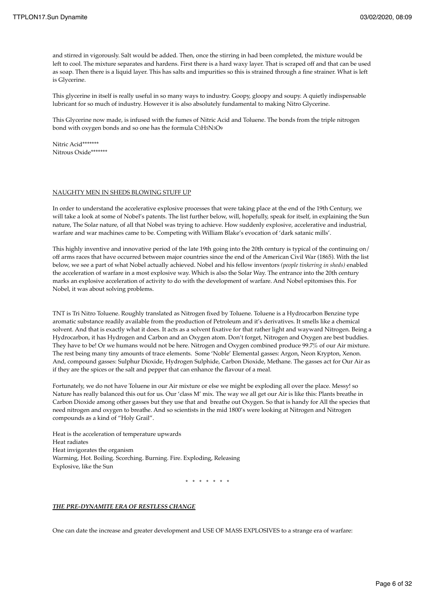and stirred in vigorously. Salt would be added. Then, once the stirring in had been completed, the mixture would be left to cool. The mixture separates and hardens. First there is a hard waxy layer. That is scraped off and that can be used as soap. Then there is a liquid layer. This has salts and impurities so this is strained through a fine strainer. What is left is Glycerine.

This glycerine in itself is really useful in so many ways to industry. Goopy, gloopy and soupy. A quietly indispensable lubricant for so much of industry. However it is also absolutely fundamental to making Nitro Glycerine.

This Glycerine now made, is infused with the fumes of Nitric Acid and Toluene. The bonds from the triple nitrogen bond with oxygen bonds and so one has the formula C3H5N3O9

Nitric Acid\*\*\*\*\*\*\* Nitrous Oxide\*\*\*\*\*\*\*

#### NAUGHTY MEN IN SHEDS BLOWING STUFF UP

In order to understand the accelerative explosive processes that were taking place at the end of the 19th Century, we will take a look at some of Nobel's patents. The list further below, will, hopefully, speak for itself, in explaining the Sun nature, The Solar nature, of all that Nobel was trying to achieve. How suddenly explosive, accelerative and industrial, warfare and war machines came to be. Competing with William Blake's evocation of 'dark satanic mills'.

This highly inventive and innovative period of the late 19th going into the 20th century is typical of the continuing on/ off arms races that have occurred between major countries since the end of the American Civil War (1865). With the list below, we see a part of what Nobel actually achieved. Nobel and his fellow inventors *(people tinkering in sheds)* enabled the acceleration of warfare in a most explosive way. Which is also the Solar Way. The entrance into the 20th century marks an explosive acceleration of activity to do with the development of warfare. And Nobel epitomises this. For Nobel, it was about solving problems.

TNT is Tri Nitro Toluene. Roughly translated as Nitrogen fixed by Toluene. Toluene is a Hydrocarbon Benzine type aromatic substance readily available from the production of Petroleum and it's derivatives. It smells like a chemical solvent. And that is exactly what it does. It acts as a solvent fixative for that rather light and wayward Nitrogen. Being a Hydrocarbon, it has Hydrogen and Carbon and an Oxygen atom. Don't forget, Nitrogen and Oxygen are best buddies. They have to be! Or we humans would not be here. Nitrogen and Oxygen combined produce 99.7% of our Air mixture. The rest being many tiny amounts of trace elements. Some 'Noble' Elemental gasses: Argon, Neon Krypton, Xenon. And, compound gasses: Sulphur Dioxide, Hydrogen Sulphide, Carbon Dioxide, Methane. The gasses act for Our Air as if they are the spices or the salt and pepper that can enhance the flavour of a meal.

Fortunately, we do not have Toluene in our Air mixture or else we might be exploding all over the place. Messy! so Nature has really balanced this out for us. Our 'class M' mix. The way we all get our Air is like this: Plants breathe in Carbon Dioxide among other gasses but they use that and breathe out Oxygen. So that is handy for All the species that need nitrogen and oxygen to breathe. And so scientists in the mid 1800's were looking at Nitrogen and Nitrogen compounds as a kind of "Holy Grail".

Heat is the acceleration of temperature upwards Heat radiates Heat invigorates the organism Warming, Hot. Boiling. Scorching. Burning. Fire. Exploding, Releasing Explosive, like the Sun

\* \* \* \* \* \* \*

#### *THE PRE-DYNAMITE ERA OF RESTLESS CHANGE*

One can date the increase and greater development and USE OF MASS EXPLOSIVES to a strange era of warfare: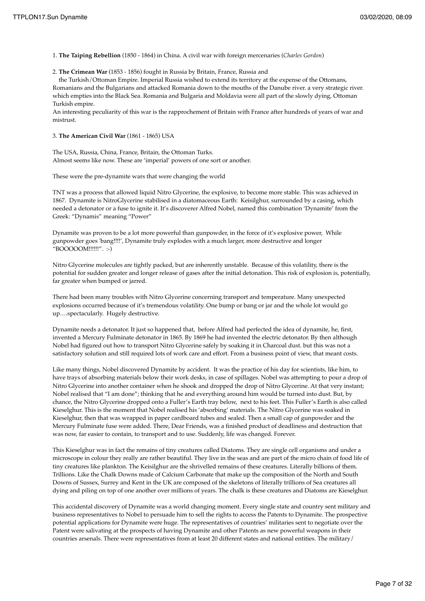1. **The Taiping Rebellion** (1850 - 1864) in China. A civil war with foreign mercenaries (*Charles Gordon*)

2. **The Crimean War** (1853 - 1856) fought in Russia by Britain, France, Russia and

 the Turkish/Ottoman Empire. Imperial Russia wished to extend its territory at the expense of the Ottomans, Romanians and the Bulgarians and attacked Romania down to the mouths of the Danube river. a very strategic river. which empties into the Black Sea. Romania and Bulgaria and Moldavia were all part of the slowly dying, Ottoman Turkish empire.

An interesting peculiarity of this war is the rapprochement of Britain with France after hundreds of years of war and mistrust.

### 3. **The American Civil War** (1861 - 1865) USA

The USA, Russia, China, France, Britain, the Ottoman Turks. Almost seems like now. These are 'imperial' powers of one sort or another.

These were the pre-dynamite wars that were changing the world

TNT was a process that allowed liquid Nitro Glycerine, the explosive, to become more stable. This was achieved in 1867. Dynamite is NitroGlycerine stabilised in a diatomaceous Earth: Keisilghur, surrounded by a casing, which needed a detonator or a fuse to ignite it. It's discoverer Alfred Nobel, named this combination 'Dynamite' from the Greek: "Dynamis" meaning "Power"

Dynamite was proven to be a lot more powerful than gunpowder, in the force of it's explosive power, While gunpowder goes 'bang!!!!', Dynamite truly explodes with a much larger, more destructive and longer "BOOOOOM!!!!!!". :-)

Nitro Glycerine molecules are tightly packed, but are inherently unstable. Because of this volatility, there is the potential for sudden greater and longer release of gases after the initial detonation. This risk of explosion is, potentially, far greater when bumped or jarred.

There had been many troubles with Nitro Glycerine concerning transport and temperature. Many unexpected explosions occurred because of it's tremendous volatility. One bump or bang or jar and the whole lot would go up….spectacularly. Hugely destructive.

Dynamite needs a detonator. It just so happened that, before Alfred had perfected the idea of dynamite, he, first, invented a Mercury Fulminate detonator in 1865. By 1869 he had invented the electric detonator. By then although Nobel had figured out how to transport Nitro Glycerine safely by soaking it in Charcoal dust. but this was not a satisfactory solution and still required lots of work care and effort. From a business point of view, that meant costs.

Like many things, Nobel discovered Dynamite by accident. It was the practice of his day for scientists, like him, to have trays of absorbing materials below their work desks, in case of spillages. Nobel was attempting to pour a drop of Nitro Glycerine into another container when he shook and dropped the drop of Nitro Glycerine. At that very instant; Nobel realised that "I am done"; thinking that he and everything around him would be turned into dust. But, by chance, the Nitro Glycerine dropped onto a Fuller's Earth tray below, next to his feet. This Fuller's Earth is also called Kieselghur. This is the moment that Nobel realised his 'absorbing' materials. The Nitro Glycerine was soaked in Kieselghur, then that was wrapped in paper cardboard tubes and sealed. Then a small cap of gunpowder and the Mercury Fulminate fuse were added. There, Dear Friends, was a finished product of deadliness and destruction that was now, far easier to contain, to transport and to use. Suddenly, life was changed. Forever.

This Kieselghur was in fact the remains of tiny creatures called Diatoms. They are single cell organisms and under a microscope in colour they really are rather beautiful. They live in the seas and are part of the micro chain of food life of tiny creatures like plankton. The Keisilghur are the shrivelled remains of these creatures. Literally billions of them. Trillions. Like the Chalk Downs made of Calcium Carbonate that make up the composition of the North and South Downs of Sussex, Surrey and Kent in the UK are composed of the skeletons of literally trillions of Sea creatures all dying and piling on top of one another over millions of years. The chalk is these creatures and Diatoms are Kieselghur.

This accidental discovery of Dynamite was a world changing moment. Every single state and country sent military and business representatives to Nobel to persuade him to sell the rights to access the Patents to Dynamite. The prospective potential applications for Dynamite were huge. The representatives of countries' militaries sent to negotiate over the Patent were salivating at the prospects of having Dynamite and other Patents as new powerful weapons in their countries arsenals. There were representatives from at least 20 different states and national entities. The military/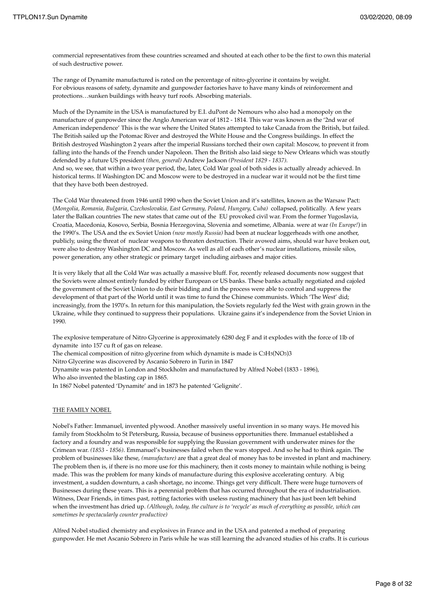commercial representatives from these countries screamed and shouted at each other to be the first to own this material of such destructive power.

The range of Dynamite manufactured is rated on the percentage of nitro-glycerine it contains by weight. For obvious reasons of safety, dynamite and gunpowder factories have to have many kinds of reinforcement and protections…sunken buildings with heavy turf roofs. Absorbing materials.

Much of the Dynamite in the USA is manufactured by E.I. duPont de Nemours who also had a monopoly on the manufacture of gunpowder since the Anglo American war of 1812 - 1814. This war was known as the '2nd war of American independence' This is the war where the United States attempted to take Canada from the British, but failed. The British sailed up the Potomac River and destroyed the White House and the Congress buildings. In effect the British destroyed Washington 2 years after the imperial Russians torched their own capital: Moscow, to prevent it from falling into the hands of the French under Napoleon. Then the British also laid siege to New Orleans which was stoutly defended by a future US president *(then, general)* Andrew Jackson *(President 1829 - 1837).* And so, we see, that within a two year period, the, later, Cold War goal of both sides is actually already achieved. In historical terms. If Washington DC and Moscow were to be destroyed in a nuclear war it would not be the first time that they have both been destroyed.

The Cold War threatened from 1946 until 1990 when the Soviet Union and it's satellites, known as the Warsaw Pact: (*Mongolia, Romania, Bulgaria, Czechoslovakia, East Germany, Poland, Hungary, Cuba)* collapsed, politically. A few years later the Balkan countries The new states that came out of the EU provoked civil war. From the former Yugoslavia, Croatia, Macedonia, Kosovo, Serbia, Bosnia Herzegovina, Slovenia and sometime, Albania. were at war *(In Europe!*) in the 1990's. The USA and the ex Soviet Union *(now mostly Russia)* had been at nuclear loggerheads with one another, publicly, using the threat of nuclear weapons to threaten destruction. Their avowed aims, should war have broken out, were also to destroy Washington DC and Moscow. As well as all of each other's nuclear installations, missile silos, power generation, any other strategic or primary target including airbases and major cities.

It is very likely that all the Cold War was actually a massive bluff. For, recently released documents now suggest that the Soviets were almost entirely funded by either European or US banks. These banks actually negotiated and cajoled the government of the Soviet Union to do their bidding and in the process were able to control and suppress the development of that part of the World until it was time to fund the Chinese communists. Which 'The West' did; increasingly, from the 1970's. In return for this manipulation, the Soviets regularly fed the West with grain grown in the Ukraine, while they continued to suppress their populations. Ukraine gains it's independence from the Soviet Union in 1990.

The explosive temperature of Nitro Glycerine is approximately 6280 deg F and it explodes with the force of 1lb of dynamite into 157 cu ft of gas on release.

The chemical composition of nitro glycerine from which dynamite is made is C3H5(NO3)3

Nitro Glycerine was discovered by Ascanio Sobrero in Turin in 1847

Dynamite was patented in London and Stockholm and manufactured by Alfred Nobel (1833 - 1896),

Who also invented the blasting cap in 1865.

In 1867 Nobel patented 'Dynamite' and in 1873 he patented 'Gelignite'.

#### THE FAMILY NOBEL

Nobel's Father: Immanuel, invented plywood. Another massively useful invention in so many ways. He moved his family from Stockholm to St Petersburg, Russia, because of business opportunities there. Immanuel established a factory and a foundry and was responsible for supplying the Russian government with underwater mines for the Crimean war. *(1853 - 1856)*. Emmanuel's businesses failed when the wars stopped. And so he had to think again. The problem of businesses like these, *(manufacture)* are that a great deal of money has to be invested in plant and machinery. The problem then is, if there is no more use for this machinery, then it costs money to maintain while nothing is being made. This was the problem for many kinds of manufacture during this explosive accelerating century. A big investment, a sudden downturn, a cash shortage, no income. Things get very difficult. There were huge turnovers of Businesses during these years. This is a perennial problem that has occurred throughout the era of industrialisation. Witness, Dear Friends, in times past, rotting factories with useless rusting machinery that has just been left behind when the investment has dried up. *(Although, today, the culture is to 'recycle' as much of everything as possible, which can sometimes be spectacularly counter productive)*

Alfred Nobel studied chemistry and explosives in France and in the USA and patented a method of preparing gunpowder. He met Ascanio Sobrero in Paris while he was still learning the advanced studies of his crafts. It is curious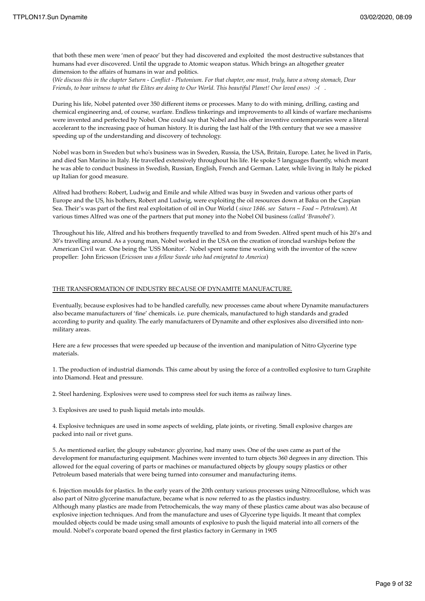that both these men were 'men of peace' but they had discovered and exploited the most destructive substances that humans had ever discovered. Until the upgrade to Atomic weapon status. Which brings an altogether greater dimension to the affairs of humans in war and politics.

(*We discuss this in the chapter Saturn - Conflict - Plutonium. For that chapter, one must, truly, have a strong stomach, Dear Friends, to bear witness to what the Elites are doing to Our World. This beautiful Planet! Our loved ones) :-( .* 

During his life, Nobel patented over 350 different items or processes. Many to do with mining, drilling, casting and chemical engineering and, of course, warfare. Endless tinkerings and improvements to all kinds of warfare mechanisms were invented and perfected by Nobel. One could say that Nobel and his other inventive contemporaries were a literal accelerant to the increasing pace of human history. It is during the last half of the 19th century that we see a massive speeding up of the understanding and discovery of technology.

Nobel was born in Sweden but who's business was in Sweden, Russia, the USA, Britain, Europe. Later, he lived in Paris, and died San Marino in Italy. He travelled extensively throughout his life. He spoke 5 languages fluently, which meant he was able to conduct business in Swedish, Russian, English, French and German. Later, while living in Italy he picked up Italian for good measure.

Alfred had brothers: Robert, Ludwig and Emile and while Alfred was busy in Sweden and various other parts of Europe and the US, his bothers, Robert and Ludwig, were exploiting the oil resources down at Baku on the Caspian Sea. Their's was part of the first real exploitation of oil in Our World ( *since 1846. see Saturn ~ Food ~ Petroleum*). At various times Alfred was one of the partners that put money into the Nobel Oil business *(called 'Branobel')*.

Throughout his life, Alfred and his brothers frequently travelled to and from Sweden. Alfred spent much of his 20's and 30's travelling around. As a young man, Nobel worked in the USA on the creation of ironclad warships before the American Civil war. One being the 'USS Monitor'. Nobel spent some time working with the inventor of the screw propeller: John Ericsson (*Ericsson was a fellow Swede who had emigrated to America*)

### THE TRANSFORMATION OF INDUSTRY BECAUSE OF DYNAMITE MANUFACTURE.

Eventually, because explosives had to be handled carefully, new processes came about where Dynamite manufacturers also became manufacturers of 'fine' chemicals. i.e. pure chemicals, manufactured to high standards and graded according to purity and quality. The early manufacturers of Dynamite and other explosives also diversified into nonmilitary areas.

Here are a few processes that were speeded up because of the invention and manipulation of Nitro Glycerine type materials.

1. The production of industrial diamonds. This came about by using the force of a controlled explosive to turn Graphite into Diamond. Heat and pressure.

2. Steel hardening. Explosives were used to compress steel for such items as railway lines.

3. Explosives are used to push liquid metals into moulds.

4. Explosive techniques are used in some aspects of welding, plate joints, or riveting. Small explosive charges are packed into nail or rivet guns.

5. As mentioned earlier, the gloupy substance: glycerine, had many uses. One of the uses came as part of the development for manufacturing equipment. Machines were invented to turn objects 360 degrees in any direction. This allowed for the equal covering of parts or machines or manufactured objects by gloupy soupy plastics or other Petroleum based materials that were being turned into consumer and manufacturing items.

6. Injection moulds for plastics. In the early years of the 20th century various processes using Nitrocellulose, which was also part of Nitro glycerine manufacture, became what is now referred to as the plastics industry. Although many plastics are made from Petrochemicals, the way many of these plastics came about was also because of explosive injection techniques. And from the manufacture and uses of Glycerine type liquids. It meant that complex moulded objects could be made using small amounts of explosive to push the liquid material into all corners of the mould. Nobel's corporate board opened the first plastics factory in Germany in 1905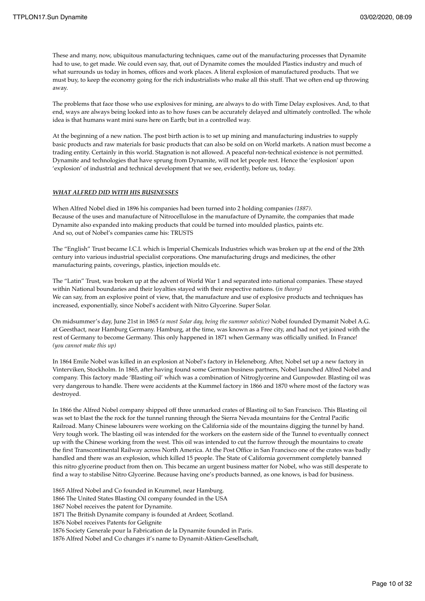These and many, now, ubiquitous manufacturing techniques, came out of the manufacturing processes that Dynamite had to use, to get made. We could even say, that, out of Dynamite comes the moulded Plastics industry and much of what surrounds us today in homes, offices and work places. A literal explosion of manufactured products. That we must buy, to keep the economy going for the rich industrialists who make all this stuff. That we often end up throwing away.

The problems that face those who use explosives for mining, are always to do with Time Delay explosives. And, to that end, ways are always being looked into as to how fuses can be accurately delayed and ultimately controlled. The whole idea is that humans want mini suns here on Earth; but in a controlled way.

At the beginning of a new nation. The post birth action is to set up mining and manufacturing industries to supply basic products and raw materials for basic products that can also be sold on on World markets. A nation must become a trading entity. Certainly in this world. Stagnation is not allowed. A peaceful non-technical existence is not permitted. Dynamite and technologies that have sprung from Dynamite, will not let people rest. Hence the 'explosion' upon 'explosion' of industrial and technical development that we see, evidently, before us, today.

### *WHAT ALFRED DID WITH HIS BUSINESSES*

When Alfred Nobel died in 1896 his companies had been turned into 2 holding companies *(1887)*. Because of the uses and manufacture of Nitrocellulose in the manufacture of Dynamite, the companies that made Dynamite also expanded into making products that could be turned into moulded plastics, paints etc. And so, out of Nobel's companies came his: TRUSTS

The "English" Trust became I.C.I. which is Imperial Chemicals Industries which was broken up at the end of the 20th century into various industrial specialist corporations. One manufacturing drugs and medicines, the other manufacturing paints, coverings, plastics, injection moulds etc.

The "Latin" Trust, was broken up at the advent of World War 1 and separated into national companies. These stayed within National boundaries and their loyalties stayed with their respective nations. (*in theory)* We can say, from an explosive point of view, that, the manufacture and use of explosive products and techniques has increased, exponentially, since Nobel's accident with Nitro Glycerine. Super Solar.

On midsummer's day, June 21st in 1865 *(a most Solar day, being the summer solstice)* Nobel founded Dymamit Nobel A.G. at Geesthact, near Hamburg Germany. Hamburg, at the time, was known as a Free city, and had not yet joined with the rest of Germany to become Germany. This only happened in 1871 when Germany was officially unified. In France! *(you cannot make this up)* 

In 1864 Emile Nobel was killed in an explosion at Nobel's factory in Heleneborg. After, Nobel set up a new factory in Vinterviken, Stockholm. In 1865, after having found some German business partners, Nobel launched Alfred Nobel and company. This factory made 'Blasting oil' which was a combination of Nitroglycerine and Gunpowder. Blasting oil was very dangerous to handle. There were accidents at the Kummel factory in 1866 and 1870 where most of the factory was destroyed.

In 1866 the Alfred Nobel company shipped off three unmarked crates of Blasting oil to San Francisco. This Blasting oil was set to blast the the rock for the tunnel running through the Sierra Nevada mountains for the Central Pacific Railroad. Many Chinese labourers were working on the California side of the mountains digging the tunnel by hand. Very tough work. The blasting oil was intended for the workers on the eastern side of the Tunnel to eventually connect up with the Chinese working from the west. This oil was intended to cut the furrow through the mountains to create the first Transcontinental Railway across North America. At the Post Office in San Francisco one of the crates was badly handled and there was an explosion, which killed 15 people. The State of California government completely banned this nitro glycerine product from then on. This became an urgent business matter for Nobel, who was still desperate to find a way to stabilise Nitro Glycerine. Because having one's products banned, as one knows, is bad for business.

1865 Alfred Nobel and Co founded in Krummel, near Hamburg.

1866 The United States Blasting Oil company founded in the USA

1867 Nobel receives the patent for Dynamite.

1871 The British Dynamite company is founded at Ardeer, Scotland.

1876 Nobel receives Patents for Gelignite

1876 Society Generale pour la Fabrication de la Dynamite founded in Paris.

1876 Alfred Nobel and Co changes it's name to Dynamit-Aktien-Gesellschaft,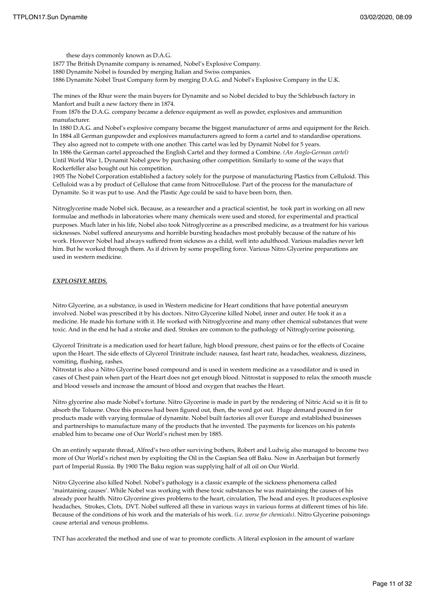these days commonly known as D.A.G. 1877 The British Dynamite company is renamed, Nobel's Explosive Company. 1880 Dynamite Nobel is founded by merging Italian and Swiss companies. 1886 Dynamite Nobel Trust Company form by merging D.A.G. and Nobel's Explosive Company in the U.K.

The mines of the Rhur were the main buyers for Dynamite and so Nobel decided to buy the Schlebusch factory in Manfort and built a new factory there in 1874.

From 1876 the D.A.G. company became a defence equipment as well as powder, explosives and ammunition manufacturer.

In 1880 D.A.G. and Nobel's explosive company became the biggest manufacturer of arms and equipment for the Reich. In 1884 all German gunpowder and explosives manufacturers agreed to form a cartel and to standardise operations. They also agreed not to compete with one another. This cartel was led by Dynamit Nobel for 5 years. In 1886 the German cartel approached the English Cartel and they formed a Combine. *(An Anglo-German cartel)*

Until World War 1, Dynamit Nobel grew by purchasing other competition. Similarly to some of the ways that Rockerfeller also bought out his competition.

1905 The Nobel Corporation established a factory solely for the purpose of manufacturing Plastics from Celluloid. This Celluloid was a by product of Cellulose that came from Nitrocellulose. Part of the process for the manufacture of Dynamite. So it was put to use. And the Plastic Age could be said to have been born, then.

Nitroglycerine made Nobel sick. Because, as a researcher and a practical scientist, he took part in working on all new formulae and methods in laboratories where many chemicals were used and stored, for experimental and practical purposes. Much later in his life, Nobel also took Nitroglycerine as a prescribed medicine, as a treatment for his various sicknesses. Nobel suffered aneurysms and horrible bursting headaches most probably because of the nature of his work. However Nobel had always suffered from sickness as a child, well into adulthood. Various maladies never left him. But he worked through them. As if driven by some propelling force. Various Nitro Glycerine preparations are used in western medicine.

### *EXPLOSIVE MEDS.*

Nitro Glycerine, as a substance, is used in Western medicine for Heart conditions that have potential aneurysm involved. Nobel was prescribed it by his doctors. Nitro Glycerine killed Nobel, inner and outer. He took it as a medicine. He made his fortune with it. He worked with Nitroglycerine and many other chemical substances that were toxic. And in the end he had a stroke and died. Strokes are common to the pathology of Nitroglycerine poisoning.

Glycerol Trinitrate is a medication used for heart failure, high blood pressure, chest pains or for the effects of Cocaine upon the Heart. The side effects of Glycerol Trinitrate include: nausea, fast heart rate, headaches, weakness, dizziness, vomiting, flushing, rashes.

Nitrostat is also a Nitro Glycerine based compound and is used in western medicine as a vasodilator and is used in cases of Chest pain when part of the Heart does not get enough blood. Nitrostat is supposed to relax the smooth muscle and blood vessels and increase the amount of blood and oxygen that reaches the Heart.

Nitro glycerine also made Nobel's fortune. Nitro Glycerine is made in part by the rendering of Nitric Acid so it is fit to absorb the Toluene. Once this process had been figured out, then, the word got out. Huge demand poured in for products made with varying formulae of dynamite. Nobel built factories all over Europe and established businesses and partnerships to manufacture many of the products that he invented. The payments for licences on his patents enabled him to became one of Our World's richest men by 1885.

On an entirely separate thread, Alfred's two other surviving bothers, Robert and Ludwig also managed to become two more of Our World's richest men by exploiting the Oil in the Caspian Sea off Baku. Now in Azerbaijan but formerly part of Imperial Russia. By 1900 The Baku region was supplying half of all oil on Our World.

Nitro Glycerine also killed Nobel. Nobel's pathology is a classic example of the sickness phenomena called 'maintaining causes'. While Nobel was working with these toxic substances he was maintaining the causes of his already poor health. Nitro Glycerine gives problems to the heart, circulation, The head and eyes. It produces explosive headaches, Strokes, Clots, DVT. Nobel suffered all these in various ways in various forms at different times of his life. Because of the conditions of his work and the materials of his work. *(i.e. worse for chemicals)*. Nitro Glycerine poisonings cause arterial and venous problems.

TNT has accelerated the method and use of war to promote conflicts. A literal explosion in the amount of warfare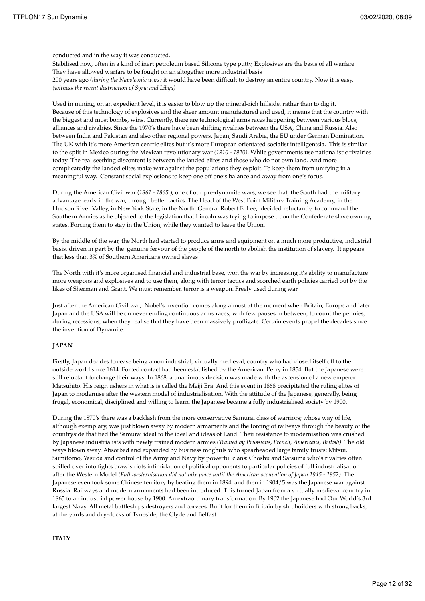conducted and in the way it was conducted.

Stabilised now, often in a kind of inert petroleum based Silicone type putty, Explosives are the basis of all warfare They have allowed warfare to be fought on an altogether more industrial basis 200 years ago *(during the Napoleonic wars)* it would have been difficult to destroy an entire country. Now it is easy. *(witness the recent destruction of Syria and Libya)*

Used in mining, on an expedient level, it is easier to blow up the mineral-rich hillside, rather than to dig it. Because of this technology of explosives and the sheer amount manufactured and used, it means that the country with the biggest and most bombs, wins. Currently, there are technological arms races happening between various blocs, alliances and rivalries. Since the 1970's there have been shifting rivalries between the USA, China and Russia. Also between India and Pakistan and also other regional powers. Japan, Saudi Arabia, the EU under German Domination, The UK with it's more American centric elites but it's more European orientated socialist intelligentsia. This is similar to the split in Mexico during the Mexican revolutionary war *(1910 - 1920)*. While governments use nationalistic rivalries today. The real seething discontent is between the landed elites and those who do not own land. And more complicatedly the landed elites make war against the populations they exploit. To keep them from unifying in a meaningful way. Constant social explosions to keep one off one's balance and away from one's focus.

During the American Civil war (*1861 - 1865.*), one of our pre-dynamite wars, we see that, the South had the military advantage, early in the war, through better tactics. The Head of the West Point Military Training Academy, in the Hudson River Valley, in New York State, in the North: General Robert E. Lee, decided reluctantly, to command the Southern Armies as he objected to the legislation that Lincoln was trying to impose upon the Confederate slave owning states. Forcing them to stay in the Union, while they wanted to leave the Union.

By the middle of the war, the North had started to produce arms and equipment on a much more productive, industrial basis, driven in part by the genuine fervour of the people of the north to abolish the institution of slavery. It appears that less than 3% of Southern Americans owned slaves

The North with it's more organised financial and industrial base, won the war by increasing it's ability to manufacture more weapons and explosives and to use them, along with terror tactics and scorched earth policies carried out by the likes of Sherman and Grant. We must remember, terror is a weapon. Freely used during war.

Just after the American Civil war, Nobel's invention comes along almost at the moment when Britain, Europe and later Japan and the USA will be on never ending continuous arms races, with few pauses in between, to count the pennies, during recessions, when they realise that they have been massively profligate. Certain events propel the decades since the invention of Dynamite.

### **JAPAN**

Firstly, Japan decides to cease being a non industrial, virtually medieval, country who had closed itself off to the outside world since 1614. Forced contact had been established by the American: Perry in 1854. But the Japanese were still reluctant to change their ways. In 1868, a unanimous decision was made with the ascension of a new emperor: Matsuhito. His reign ushers in what is is called the Meiji Era. And this event in 1868 precipitated the ruling elites of Japan to modernise after the western model of industrialisation. With the attitude of the Japanese, generally, being frugal, economical, disciplined and willing to learn, the Japanese became a fully industrialised society by 1900.

During the 1870's there was a backlash from the more conservative Samurai class of warriors; whose way of life, although exemplary, was just blown away by modern armaments and the forcing of railways through the beauty of the countryside that tied the Samurai ideal to the ideal and ideas of Land. Their resistance to modernisation was crushed by Japanese industrialists with newly trained modern armies *(Trained by Prussians, French, Americans, British)*. The old ways blown away. Absorbed and expanded by business moghuls who spearheaded large family trusts: Mitsui, Sumitomo, Yasuda and control of the Army and Navy by powerful clans: Choshu and Satsuma who's rivalries often spilled over into fights brawls riots intimidation of political opponents to particular policies of full industrialisation after the Western Model *(Full westernisation did not take place until the American occupation of Japan 1945 - 1952)* The Japanese even took some Chinese territory by beating them in 1894 and then in 1904/5 was the Japanese war against Russia. Railways and modern armaments had been introduced. This turned Japan from a virtually medieval country in 1865 to an industrial power house by 1900. An extraordinary transformation. By 1902 the Japanese had Our World's 3rd largest Navy. All metal battleships destroyers and corvees. Built for them in Britain by shipbuilders with strong backs, at the yards and dry-docks of Tyneside, the Clyde and Belfast.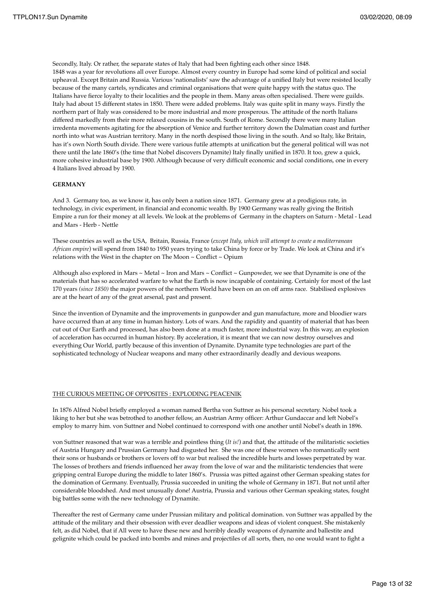Secondly, Italy. Or rather, the separate states of Italy that had been fighting each other since 1848. 1848 was a year for revolutions all over Europe. Almost every country in Europe had some kind of political and social upheaval. Except Britain and Russia. Various 'nationalists' saw the advantage of a unified Italy but were resisted locally because of the many cartels, syndicates and criminal organisations that were quite happy with the status quo. The Italians have fierce loyalty to their localities and the people in them. Many areas often specialised. There were guilds. Italy had about 15 different states in 1850. There were added problems. Italy was quite split in many ways. Firstly the northern part of Italy was considered to be more industrial and more prosperous. The attitude of the north Italians differed markedly from their more relaxed cousins in the south. South of Rome. Secondly there were many Italian irredenta movements agitating for the absorption of Venice and further territory down the Dalmatian coast and further north into what was Austrian territory. Many in the north despised those living in the south. And so Italy, like Britain, has it's own North South divide. There were various futile attempts at unification but the general political will was not there until the late 1860's (the time that Nobel discovers Dynamite) Italy finally unified in 1870. It too, grew a quick, more cohesive industrial base by 1900. Although because of very difficult economic and social conditions, one in every 4 Italians lived abroad by 1900.

### **GERMANY**

And 3. Germany too, as we know it, has only been a nation since 1871. Germany grew at a prodigious rate, in technology, in civic experiment, in financial and economic wealth. By 1900 Germany was really giving the British Empire a run for their money at all levels. We look at the problems of Germany in the chapters on Saturn - Metal - Lead and Mars - Herb - Nettle

These countries as well as the USA, Britain, Russia, France (*except Italy, which will attempt to create a mediterranean African empire*) will spend from 1840 to 1950 years trying to take China by force or by Trade. We look at China and it's relations with the West in the chapter on The Moon ~ Conflict ~ Opium

Although also explored in Mars ~ Metal ~ Iron and Mars ~ Conflict ~ Gunpowder, we see that Dynamite is one of the materials that has so accelerated warfare to what the Earth is now incapable of containing. Certainly for most of the last 170 years *(since 1850)* the major powers of the northern World have been on an on off arms race. Stabilised explosives are at the heart of any of the great arsenal, past and present.

Since the invention of Dynamite and the improvements in gunpowder and gun manufacture, more and bloodier wars have occurred than at any time in human history. Lots of wars. And the rapidity and quantity of material that has been cut out of Our Earth and processed, has also been done at a much faster, more industrial way. In this way, an explosion of acceleration has occurred in human history. By acceleration, it is meant that we can now destroy ourselves and everything Our World, partly because of this invention of Dynamite. Dynamite type technologies are part of the sophisticated technology of Nuclear weapons and many other extraordinarily deadly and devious weapons.

### THE CURIOUS MEETING OF OPPOSITES : EXPLODING PEACENIK

In 1876 Alfred Nobel briefly employed a woman named Bertha von Suttner as his personal secretary. Nobel took a liking to her but she was betrothed to another fellow, an Austrian Army officer: Arthur Gundaccar and left Nobel's employ to marry him. von Suttner and Nobel continued to correspond with one another until Nobel's death in 1896.

von Suttner reasoned that war was a terrible and pointless thing (*It is!*) and that, the attitude of the militaristic societies of Austria Hungary and Prussian Germany had disgusted her. She was one of these women who romantically sent their sons or husbands or brothers or lovers off to war but realised the incredible hurts and losses perpetrated by war. The losses of brothers and friends influenced her away from the love of war and the militaristic tendencies that were gripping central Europe during the middle to later 1860's. Prussia was pitted against other German speaking states for the domination of Germany. Eventually, Prussia succeeded in uniting the whole of Germany in 1871. But not until after considerable bloodshed. And most unusually done! Austria, Prussia and various other German speaking states, fought big battles some with the new technology of Dynamite.

Thereafter the rest of Germany came under Prussian military and political domination. von Suttner was appalled by the attitude of the military and their obsession with ever deadlier weapons and ideas of violent conquest. She mistakenly felt, as did Nobel, that if All were to have these new and horribly deadly weapons of dynamite and ballestite and gelignite which could be packed into bombs and mines and projectiles of all sorts, then, no one would want to fight a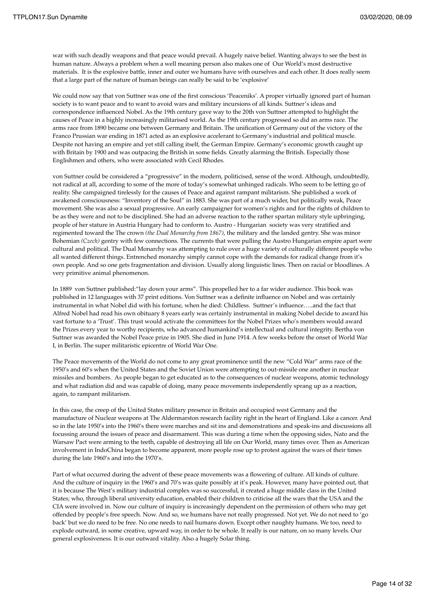war with such deadly weapons and that peace would prevail. A hugely naive belief. Wanting always to see the best in human nature. Always a problem when a well meaning person also makes one of Our World's most destructive materials. It is the explosive battle, inner and outer we humans have with ourselves and each other. It does really seem that a large part of the nature of human beings can really be said to be 'explosive'

We could now say that von Suttner was one of the first conscious 'Peaceniks'. A proper virtually ignored part of human society is to want peace and to want to avoid wars and military incursions of all kinds. Suttner's ideas and correspondence influenced Nobel. As the 19th century gave way to the 20th von Suttner attempted to highlight the causes of Peace in a highly increasingly militarised world. As the 19th century progressed so did an arms race. The arms race from 1890 became one between Germany and Britain. The unification of Germany out of the victory of the Franco Prussian war ending in 1871 acted as an explosive accelerant to Germany's industrial and political muscle. Despite not having an empire and yet still calling itself, the German Empire. Germany's economic growth caught up with Britain by 1900 and was outpacing the British in some fields. Greatly alarming the British. Especially those Englishmen and others, who were associated with Cecil Rhodes.

von Suttner could be considered a "progressive" in the modern, politicised, sense of the word. Although, undoubtedly, not radical at all, according to some of the more of today's somewhat unhinged radicals. Who seem to be letting go of reality. She campaigned tirelessly for the causes of Peace and against rampant militarism. She published a work of awakened consciousness: "Inventory of the Soul" in 1883. She was part of a much wider, but politically weak, Peace movement. She was also a sexual progressive. An early campaigner for women's rights and for the rights of children to be as they were and not to be disciplined. She had an adverse reaction to the rather spartan military style upbringing, people of her stature in Austria Hungary had to conform to. Austro - Hungarian society was very stratified and regimented toward the The crown *(the Dual Monarchy from 1867)*, the military and the landed gentry. She was minor Bohemian *(Czech)* gentry with few connections. The currents that were pulling the Austro Hungarian empire apart were cultural and political. The Dual Monarchy was attempting to rule over a huge variety of culturally different people who all wanted different things. Entrenched monarchy simply cannot cope with the demands for radical change from it's own people. And so one gets fragmentation and division. Usually along linguistic lines. Then on racial or bloodlines. A very primitive animal phenomenon.

In 1889 von Suttner published:"lay down your arms". This propelled her to a far wider audience. This book was published in 12 languages with 37 print editions. Von Suttner was a definite influence on Nobel and was certainly instrumental in what Nobel did with his fortune, when he died: Childless. Suttner's influence…..and the fact that Alfred Nobel had read his own obituary 8 years early was certainly instrumental in making Nobel decide to award his vast fortune to a 'Trust'. This trust would activate the committees for the Nobel Prizes who's members would award the Prizes every year to worthy recipients, who advanced humankind's intellectual and cultural integrity. Bertha von Suttner was awarded the Nobel Peace prize in 1905. She died in June 1914. A few weeks before the onset of World War I, in Berlin. The super militaristic epicentre of World War One.

The Peace movements of the World do not come to any great prominence until the new "Cold War" arms race of the 1950's and 60's when the United States and the Soviet Union were attempting to out-missile one another in nuclear missiles and bombers. As people began to get educated as to the consequences of nuclear weapons, atomic technology and what radiation did and was capable of doing, many peace movements independently sprang up as a reaction, again, to rampant militarism.

In this case, the creep of the United States military presence in Britain and occupied west Germany and the manufacture of Nuclear weapons at The Aldermarston research facility right in the heart of England. Like a cancer. And so in the late 1950's into the 1960's there were marches and sit ins and demonstrations and speak-ins and discussions all focussing around the issues of peace and disarmament. This was during a time when the opposing sides, Nato and the Warsaw Pact were arming to the teeth, capable of destroying all life on Our World, many times over. Then as American involvement in IndoChina began to become apparent, more people rose up to protest against the wars of their times during the late 1960's and into the 1970's.

Part of what occurred during the advent of these peace movements was a flowering of culture. All kinds of culture. And the culture of inquiry in the 1960's and 70's was quite possibly at it's peak. However, many have pointed out, that it is because The West's military industrial complex was so successful, it created a huge middle class in the United States; who, through liberal university education, enabled their children to criticise all the wars that the USA and the CIA were involved in. Now our culture of inquiry is increasingly dependent on the permission of others who may get offended by people's free speech. Now. And so, we humans have not really progressed. Not yet. We do not need to 'go back' but we do need to be free. No one needs to nail humans down. Except other naughty humans. We too, need to explode outward, in some creative, upward way, in order to be whole. It really is our nature, on so many levels. Our general explosiveness. It is our outward vitality. Also a hugely Solar thing.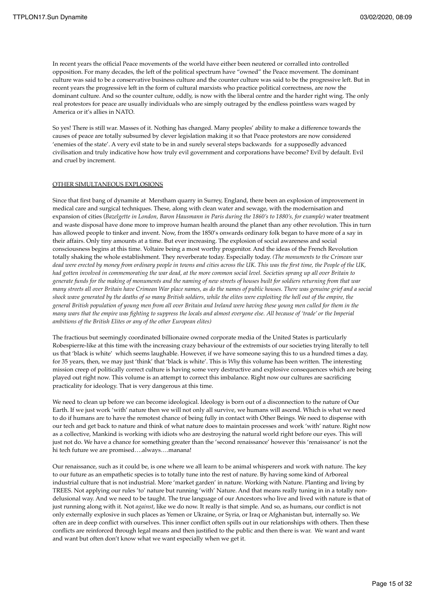In recent years the official Peace movements of the world have either been neutered or corralled into controlled opposition. For many decades, the left of the political spectrum have "owned" the Peace movement. The dominant culture was said to be a conservative business culture and the counter culture was said to be the progressive left. But in recent years the progressive left in the form of cultural marxists who practice political correctness, are now the dominant culture. And so the counter culture, oddly, is now with the liberal centre and the harder right wing. The only real protestors for peace are usually individuals who are simply outraged by the endless pointless wars waged by America or it's allies in NATO.

So yes! There is still war. Masses of it. Nothing has changed. Many peoples' ability to make a difference towards the causes of peace are totally subsumed by clever legislation making it so that Peace protestors are now considered 'enemies of the state'. A very evil state to be in and surely several steps backwards for a supposedly advanced civilisation and truly indicative how how truly evil government and corporations have become? Evil by default. Evil and cruel by increment.

### OTHER SIMULTANEOUS EXPLOSIONS

Since that first bang of dynamite at Merstham quarry in Surrey, England, there been an explosion of improvement in medical care and surgical techniques. These, along with clean water and sewage, with the modernisation and expansion of cities (*Bazelgette in London, Baron Hausmann in Paris during the 1860's to 1880's, for example)* water treatment and waste disposal have done more to improve human health around the planet than any other revolution. This in turn has allowed people to tinker and invent. Now, from the 1850's onwards ordinary folk began to have more of a say in their affairs. Only tiny amounts at a time. But ever increasing. The explosion of social awareness and social consciousness begins at this time. Voltaire being a most worthy progenitor. And the ideas of the French Revolution totally shaking the whole establishment. They reverberate today. Especially today. *(The monuments to the Crimean war dead were erected by money from ordinary people in towns and cities across the UK. This was the first time, the People of the UK, had gotten involved in commemorating the war dead, at the more common social level. Societies sprang up all over Britain to generate funds for the making of monuments and the naming of new streets of houses built for soldiers returning from that war many streets all over Britain have Crimean War place names, as do the names of public houses. There was genuine grief and a social shock wave generated by the deaths of so many British soldiers, while the elites were exploiting the hell out of the empire, the general British population of young men from all over Britain and Ireland were having these young men culled for them in the many wars that the empire was fighting to suppress the locals and almost everyone else. All because of 'trade' or the Imperial ambitions of the British Elites or any of the other European elites)*

The fractious but seemingly coordinated billionaire owned corporate media of the United States is particularly Robespierre-like at this time with the increasing crazy behaviour of the extremists of our societies trying literally to tell us that 'black is white' which seems laughable. However, if we have someone saying this to us a hundred times a day, for 35 years, then, we may just 'think' that 'black is white'. This is *Why* this volume has been written. The interesting mission creep of politically correct culture is having some very destructive and explosive consequences which are being played out right now. This volume is an attempt to correct this imbalance. Right now our cultures are sacrificing practicality for ideology. That is very dangerous at this time.

We need to clean up before we can become ideological. Ideology is born out of a disconnection to the nature of Our Earth. If we just work 'with' nature then we will not only all survive, we humans will ascend. Which is what we need to do if humans are to have the remotest chance of being fully in contact with Other Beings. We need to dispense with our tech and get back to nature and think of what nature does to maintain processes and work 'with' nature. Right now as a collective, Mankind is working with idiots who are destroying the natural world right before our eyes. This will just not do. We have a chance for something greater than the 'second renaissance' however this 'renaissance' is not the hi tech future we are promised….always….manana!

Our renaissance, such as it could be, is one where we all learn to be animal whisperers and work with nature. The key to our future as an empathetic species is to totally tune into the rest of nature. By having some kind of Arboreal industrial culture that is not industrial. More 'market garden' in nature. Working with Nature. Planting and living by TREES. Not applying our rules 'to' nature but running 'with' Nature. And that means really tuning in in a totally nondelusional way. And we need to be taught. The true language of our Ancestors who live and lived with nature is that of just running along with it. Not *against*, like we do now. It really is that simple. And so, as humans, our conflict is not only externally explosive in such places as Yemen or Ukraine, or Syria, or Iraq or Afghanistan but, internally so. We often are in deep conflict with ourselves. This inner conflict often spills out in our relationships with others. Then these conflicts are reinforced through legal means and then justified to the public and then there is war. We want and want and want but often don't know what we want especially when we get it.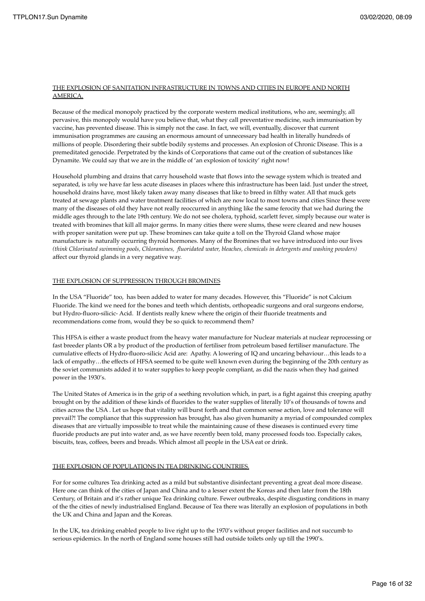### THE EXPLOSION OF SANITATION INFRASTRUCTURE IN TOWNS AND CITIES IN EUROPE AND NORTH AMERICA.

Because of the medical monopoly practiced by the corporate western medical institutions, who are, seemingly, all pervasive, this monopoly would have you believe that, what they call preventative medicine, such immunisation by vaccine, has prevented disease. This is simply not the case. In fact, we will, eventually, discover that current immunisation programmes are causing an enormous amount of unnecessary bad health in literally hundreds of millions of people. Disordering their subtle bodily systems and processes. An explosion of Chronic Disease. This is a premeditated genocide. Perpetrated by the kinds of Corporations that came out of the creation of substances like Dynamite. We could say that we are in the middle of 'an explosion of toxicity' right now!

Household plumbing and drains that carry household waste that flows into the sewage system which is treated and separated, is *why* we have far less acute diseases in places where this infrastructure has been laid. Just under the street, household drains have, most likely taken away many diseases that like to breed in filthy water. All that muck gets treated at sewage plants and water treatment facilities of which are now local to most towns and cities Since these were many of the diseases of old they have not really reoccurred in anything like the same ferocity that we had during the middle ages through to the late 19th century. We do not see cholera, typhoid, scarlett fever, simply because our water is treated with bromines that kill all major germs. In many cities there were slums, these were cleared and new houses with proper sanitation were put up. These bromines can take quite a toll on the Thyroid Gland whose major manufacture is naturally occurring thyroid hormones. Many of the Bromines that we have introduced into our lives *(think Chlorinated swimming pools, Chloramines, fluoridated water, bleaches, chemicals in detergents and washing powders)* affect our thyroid glands in a very negative way.

### THE EXPLOSION OF SUPPRESSION THROUGH BROMINES

In the USA "Fluoride" too, has been added to water for many decades. However, this "Fluoride" is not Calcium Fluoride. The kind we need for the bones and teeth which dentists, orthopeadic surgeons and oral surgeons endorse, but Hydro-fluoro-silicic- Acid. If dentists really knew where the origin of their fluoride treatments and recommendations come from, would they be so quick to recommend them?

This HFSA is either a waste product from the heavy water manufacture for Nuclear materials at nuclear reprocessing or fast breeder plants OR a by product of the production of fertiliser from petroleum based fertiliser manufacture. The cumulative effects of Hydro-fluoro-silicic Acid are: Apathy. A lowering of IQ and uncaring behaviour…this leads to a lack of empathy…the effects of HFSA seemed to be quite well known even during the beginning of the 20th century as the soviet communists added it to water supplies to keep people compliant, as did the nazis when they had gained power in the 1930's.

The United States of America is in the grip of a seething revolution which, in part, is a fight against this creeping apathy brought on by the addition of these kinds of fluorides to the water supplies of literally 10's of thousands of towns and cities across the USA . Let us hope that vitality will burst forth and that common sense action, love and tolerance will prevail?! The compliance that this suppression has brought, has also given humanity a myriad of compounded complex diseases that are virtually impossible to treat while the maintaining cause of these diseases is continued every time fluoride products are put into water and, as we have recently been told, many processed foods too. Especially cakes, biscuits, teas, coffees, beers and breads. Which almost all people in the USA eat or drink.

### THE EXPLOSION OF POPULATIONS IN TEA DRINKING COUNTRIES.

For for some cultures Tea drinking acted as a mild but substantive disinfectant preventing a great deal more disease. Here one can think of the cities of Japan and China and to a lesser extent the Koreas and then later from the 18th Century, of Britain and it's rather unique Tea drinking culture. Fewer outbreaks, despite disgusting conditions in many of the the cities of newly industrialised England. Because of Tea there was literally an explosion of populations in both the UK and China and Japan and the Koreas.

In the UK, tea drinking enabled people to live right up to the 1970's without proper facilities and not succumb to serious epidemics. In the north of England some houses still had outside toilets only up till the 1990's.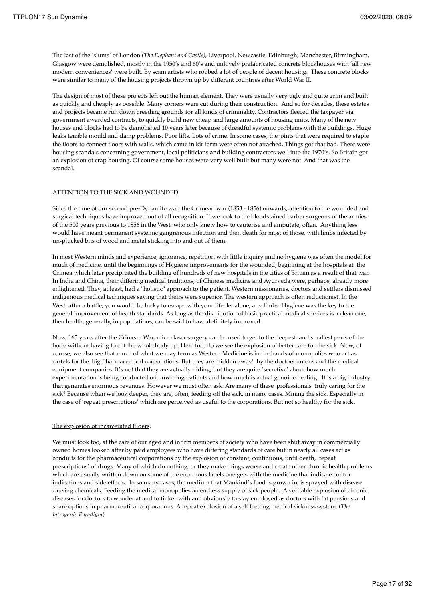The last of the 'slums' of London *(The Elephant and Castle)*, Liverpool, Newcastle, Edinburgh, Manchester, Birmingham, Glasgow were demolished, mostly in the 1950's and 60's and unlovely prefabricated concrete blockhouses with 'all new modern conveniences' were built. By scam artists who robbed a lot of people of decent housing. These concrete blocks were similar to many of the housing projects thrown up by different countries after World War II.

The design of most of these projects left out the human element. They were usually very ugly and quite grim and built as quickly and cheaply as possible. Many corners were cut during their construction. And so for decades, these estates and projects became run down breeding grounds for all kinds of criminality. Contractors fleeced the taxpayer via government awarded contracts, to quickly build new cheap and large amounts of housing units. Many of the new houses and blocks had to be demolished 10 years later because of dreadful systemic problems with the buildings. Huge leaks terrible mould and damp problems. Poor lifts. Lots of crime. In some cases, the joints that were required to staple the floors to connect floors with walls, which came in kit form were often not attached. Things got that bad. There were housing scandals concerning government, local politicians and building contractors well into the 1970's. So Britain got an explosion of crap housing. Of course some houses were very well built but many were not. And that was the scandal.

### ATTENTION TO THE SICK AND WOUNDED

Since the time of our second pre-Dynamite war: the Crimean war (1853 - 1856) onwards, attention to the wounded and surgical techniques have improved out of all recognition. If we look to the bloodstained barber surgeons of the armies of the 500 years previous to 1856 in the West, who only knew how to cauterise and amputate, often. Anything less would have meant permanent systemic gangrenous infection and then death for most of those, with limbs infected by un-plucked bits of wood and metal sticking into and out of them.

In most Western minds and experience, ignorance, repetition with little inquiry and no hygiene was often the model for much of medicine, until the beginnings of Hygiene improvements for the wounded; beginning at the hospitals at the Crimea which later precipitated the building of hundreds of new hospitals in the cities of Britain as a result of that war. In India and China, their differing medical traditions, of Chinese medicine and Ayurveda were, perhaps, already more enlightened. They, at least, had a "holistic" approach to the patient. Western missionaries, doctors and settlers dismissed indigenous medical techniques saying that theirs were superior. The western approach is often reductionist. In the West, after a battle, you would be lucky to escape with your life; let alone, any limbs. Hygiene was the key to the general improvement of health standards. As long as the distribution of basic practical medical services is a clean one, then health, generally, in populations, can be said to have definitely improved.

Now, 165 years after the Crimean War, micro laser surgery can be used to get to the deepest and smallest parts of the body without having to cut the whole body up. Here too, do we see the explosion of better care for the sick. Now, of course, we also see that much of what we may term as Western Medicine is in the hands of monopolies who act as cartels for the big Pharmaceutical corporations. But they are 'hidden away' by the doctors unions and the medical equipment companies. It's not that they are actually hiding, but they are quite 'secretive' about how much experimentation is being conducted on unwitting patients and how much is actual genuine healing. It is a big industry that generates enormous revenues. However we must often ask. Are many of these 'professionals' truly caring for the sick? Because when we look deeper, they are, often, feeding off the sick, in many cases. Mining the sick. Especially in the case of 'repeat prescriptions' which are perceived as useful to the corporations. But not so healthy for the sick.

### The explosion of incarcerated Elders.

We must look too, at the care of our aged and infirm members of society who have been shut away in commercially owned homes looked after by paid employees who have differing standards of care but in nearly all cases act as conduits for the pharmaceutical corporations by the explosion of constant, continuous, until death, 'repeat prescriptions' of drugs. Many of which do nothing, or they make things worse and create other chronic health problems which are usually written down on some of the enormous labels one gets with the medicine that indicate contra indications and side effects. In so many cases, the medium that Mankind's food is grown in, is sprayed with disease causing chemicals. Feeding the medical monopolies an endless supply of sick people. A veritable explosion of chronic diseases for doctors to wonder at and to tinker with and obviously to stay employed as doctors with fat pensions and share options in pharmaceutical corporations. A repeat explosion of a self feeding medical sickness system. (*The Iatrogenic Paradigm*)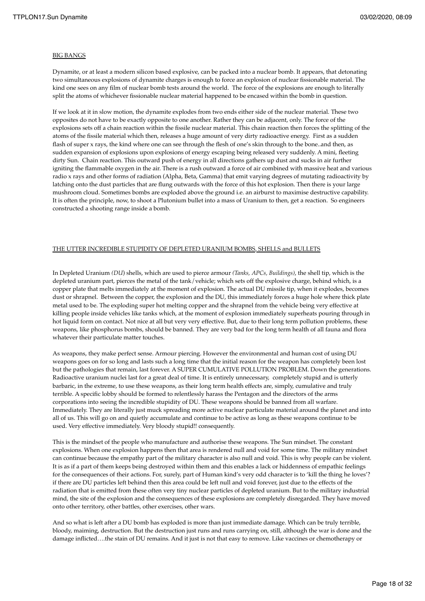### BIG BANGS

Dynamite, or at least a modern silicon based explosive, can be packed into a nuclear bomb. It appears, that detonating two simultaneous explosions of dynamite charges is enough to force an explosion of nuclear fissionable material. The kind one sees on any film of nuclear bomb tests around the world. The force of the explosions are enough to literally split the atoms of whichever fissionable nuclear material happened to be encased within the bomb in question.

If we look at it in slow motion, the dynamite explodes from two ends either side of the nuclear material. These two opposites do not have to be exactly opposite to one another. Rather they can be adjacent, only. The force of the explosions sets off a chain reaction within the fissile nuclear material. This chain reaction then forces the splitting of the atoms of the fissile material which then, releases a huge amount of very dirty radioactive energy. First as a sudden flash of super x rays, the kind where one can see through the flesh of one's skin through to the bone..and then, as sudden expansion of explosions upon explosions of energy escaping being released very suddenly. A mini, fleeting dirty Sun. Chain reaction. This outward push of energy in all directions gathers up dust and sucks in air further igniting the flammable oxygen in the air. There is a rush outward a force of air combined with massive heat and various radio x rays and other forms of radiation (Alpha, Beta, Gamma) that emit varying degrees of mutating radioactivity by latching onto the dust particles that are flung outwards with the force of this hot explosion. Then there is your large mushroom cloud. Sometimes bombs are exploded above the ground i.e. an airburst to maximise destructive capability. It is often the principle, now, to shoot a Plutonium bullet into a mass of Uranium to then, get a reaction. So engineers constructed a shooting range inside a bomb.

### THE UTTER INCREDIBLE STUPIDITY OF DEPLETED URANIUM BOMBS, SHELLS and BULLETS

In Depleted Uranium *(DU*) shells, which are used to pierce armour *(Tanks, APCs, Buildings)*, the shell tip, which is the depleted uranium part, pierces the metal of the tank/vehicle; which sets off the explosive charge, behind which, is a copper plate that melts immediately at the moment of explosion. The actual DU missile tip, when it explodes, becomes dust or shrapnel. Between the copper, the explosion and the DU, this immediately forces a huge hole where thick plate metal used to be. The exploding super hot melting copper and the shrapnel from the vehicle being very effective at killing people inside vehicles like tanks which, at the moment of explosion immediately superheats pouring through in hot liquid form on contact. Not nice at all but very very effective. But, due to their long term pollution problems, these weapons, like phosphorus bombs, should be banned. They are very bad for the long term health of all fauna and flora whatever their particulate matter touches.

As weapons, they make perfect sense. Armour piercing. However the environmental and human cost of using DU weapons goes on for so long and lasts such a long time that the initial reason for the weapon has completely been lost but the pathologies that remain, last forever. A SUPER CUMULATIVE POLLUTION PROBLEM. Down the generations. Radioactive uranium nuclei last for a great deal of time. It is entirely unnecessary, completely stupid and is utterly barbaric, in the extreme, to use these weapons, as their long term health effects are, simply, cumulative and truly terrible. A specific lobby should be formed to relentlessly harass the Pentagon and the directors of the arms corporations into seeing the incredible stupidity of DU. These weapons should be banned from all warfare. Immediately. They are literally just muck spreading more active nuclear particulate material around the planet and into all of us. This will go on and quietly accumulate and continue to be active as long as these weapons continue to be used. Very effective immediately. Very bloody stupid!! consequently.

This is the mindset of the people who manufacture and authorise these weapons. The Sun mindset. The constant explosions. When one explosion happens then that area is rendered null and void for some time. The military mindset can continue because the empathy part of the military character is also null and void. This is why people can be violent. It is as if a part of them keeps being destroyed within them and this enables a lack or hiddenness of empathic feelings for the consequences of their actions. For, surely, part of Human kind's very odd character is to 'kill the thing he loves'? if there are DU particles left behind then this area could be left null and void forever, just due to the effects of the radiation that is emitted from these often very tiny nuclear particles of depleted uranium. But to the military industrial mind, the site of the explosion and the consequences of these explosions are completely disregarded. They have moved onto other territory, other battles, other exercises, other wars.

And so what is left after a DU bomb has exploded is more than just immediate damage. Which can be truly terrible, bloody, maiming, destruction. But the destruction just runs and runs carrying on, still, although the war is done and the damage inflicted….the stain of DU remains. And it just is not that easy to remove. Like vaccines or chemotherapy or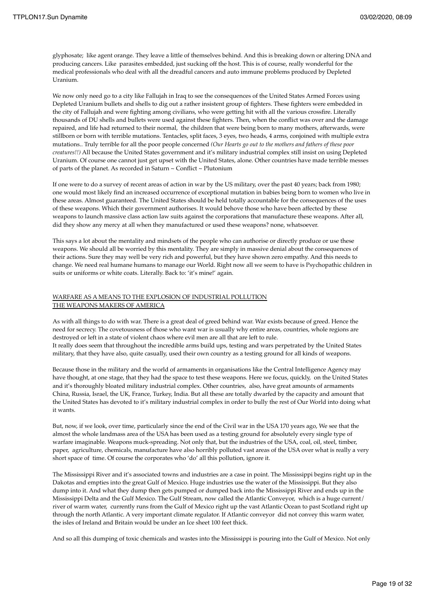glyphosate; like agent orange. They leave a little of themselves behind. And this is breaking down or altering DNA and producing cancers. Like parasites embedded, just sucking off the host. This is of course, really wonderful for the medical professionals who deal with all the dreadful cancers and auto immune problems produced by Depleted Uranium.

We now only need go to a city like Fallujah in Iraq to see the consequences of the United States Armed Forces using Depleted Uranium bullets and shells to dig out a rather insistent group of fighters. These fighters were embedded in the city of Fallujah and were fighting among civilians, who were getting hit with all the various crossfire. Literally thousands of DU shells and bullets were used against these fighters. Then, when the conflict was over and the damage repaired, and life had returned to their normal, the children that were being born to many mothers, afterwards, were stillborn or born with terrible mutations. Tentacles, split faces, 3 eyes, two heads, 4 arms, conjoined with multiple extra mutations.. Truly terrible for all the poor people concerned *(Our Hearts go out to the mothers and fathers of these poor creatures!!)* All because the United States government and it's military industrial complex still insist on using Depleted Uranium. Of course one cannot just get upset with the United States, alone. Other countries have made terrible messes of parts of the planet. As recorded in Saturn ~ Conflict ~ Plutonium

If one were to do a survey of recent areas of action in war by the US military, over the past 40 years; back from 1980; one would most likely find an increased occurrence of exceptional mutation in babies being born to women who live in these areas. Almost guaranteed. The United States should be held totally accountable for the consequences of the uses of these weapons. Which their government authorises. It would behove those who have been affected by these weapons to launch massive class action law suits against the corporations that manufacture these weapons. After all, did they show any mercy at all when they manufactured or used these weapons? none, whatsoever.

This says a lot about the mentality and mindsets of the people who can authorise or directly produce or use these weapons. We should all be worried by this mentality. They are simply in massive denial about the consequences of their actions. Sure they may well be very rich and powerful, but they have shown zero empathy. And this needs to change. We need real humane humans to manage our World. Right now all we seem to have is Psychopathic children in suits or uniforms or white coats. Literally. Back to: 'it's mine!' again.

### WARFARE AS A MEANS TO THE EXPLOSION OF INDUSTRIAL POLLUTION THE WEAPONS MAKERS OF AMERICA

As with all things to do with war. There is a great deal of greed behind war. War exists because of greed. Hence the need for secrecy. The covetousness of those who want war is usually why entire areas, countries, whole regions are destroyed or left in a state of violent chaos where evil men are all that are left to rule.

It really does seem that throughout the incredible arms build ups, testing and wars perpetrated by the United States military, that they have also, quite casually, used their own country as a testing ground for all kinds of weapons.

Because those in the military and the world of armaments in organisations like the Central Intelligence Agency may have thought, at one stage, that they had the space to test these weapons. Here we focus, quickly, on the United States and it's thoroughly bloated military industrial complex. Other countries, also, have great amounts of armaments China, Russia, Israel, the UK, France, Turkey, India. But all these are totally dwarfed by the capacity and amount that the United States has devoted to it's military industrial complex in order to bully the rest of Our World into doing what it wants.

But, now, if we look, over time, particularly since the end of the Civil war in the USA 170 years ago, We see that the almost the whole landmass area of the USA has been used as a testing ground for absolutely every single type of warfare imaginable. Weapons muck-spreading. Not only that, but the industries of the USA, coal, oil, steel, timber, paper, agriculture, chemicals, manufacture have also horribly polluted vast areas of the USA over what is really a very short space of time. Of course the corporates who 'do' all this pollution, ignore it.

The Mississippi River and it's associated towns and industries are a case in point. The Mississippi begins right up in the Dakotas and empties into the great Gulf of Mexico. Huge industries use the water of the Mississippi. But they also dump into it. And what they dump then gets pumped or dumped back into the Mississippi River and ends up in the Mississippi Delta and the Gulf Mexico. The Gulf Stream, now called the Atlantic Conveyor, which is a huge current/ river of warm water, currently runs from the Gulf of Mexico right up the vast Atlantic Ocean to past Scotland right up through the north Atlantic. A very important climate regulator. If Atlantic conveyor did not convey this warm water, the isles of Ireland and Britain would be under an Ice sheet 100 feet thick.

And so all this dumping of toxic chemicals and wastes into the Mississippi is pouring into the Gulf of Mexico. Not only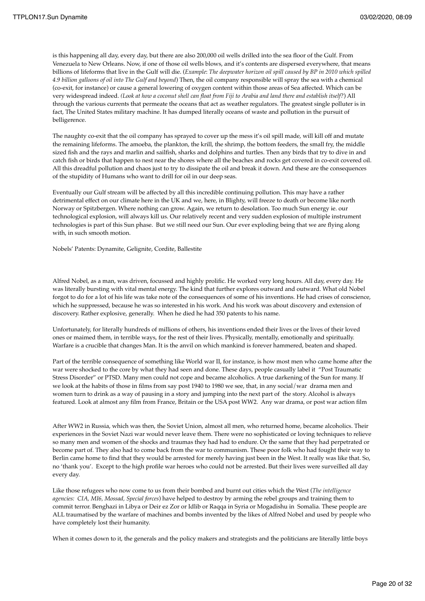is this happening all day, every day, but there are also 200,000 oil wells drilled into the sea floor of the Gulf. From Venezuela to New Orleans. Now, if one of those oil wells blows, and it's contents are dispersed everywhere, that means billions of lifeforms that live in the Gulf will die. (*Example*: *The deepwater horizon oil spill caused by BP in 2010 which spilled 4.9 billion galloons of oil into The Gulf and beyond*) Then, the oil company responsible will spray the sea with a chemical (co-exit, for instance) or cause a general lowering of oxygen content within those areas of Sea affected. Which can be very widespread indeed. *(Look at how a coconut shell can float from Fiji to Arabia and land there and establish itself?*) All through the various currents that permeate the oceans that act as weather regulators. The greatest single polluter is in fact, The United States military machine. It has dumped literally oceans of waste and pollution in the pursuit of belligerence.

The naughty co-exit that the oil company has sprayed to cover up the mess it's oil spill made, will kill off and mutate the remaining lifeforms. The amoeba, the plankton, the krill, the shrimp, the bottom feeders, the small fry, the middle sized fish and the rays and marlin and sailfish, sharks and dolphins and turtles. Then any birds that try to dive in and catch fish or birds that happen to nest near the shores where all the beaches and rocks get covered in co-exit covered oil. All this dreadful pollution and chaos just to try to dissipate the oil and break it down. And these are the consequences of the stupidity of Humans who want to drill for oil in our deep seas.

Eventually our Gulf stream will be affected by all this incredible continuing pollution. This may have a rather detrimental effect on our climate here in the UK and we, here, in Blighty, will freeze to death or become like north Norway or Spitzbergen. Where nothing can grow. Again, we return to desolation. Too much Sun energy ie. our technological explosion, will always kill us. Our relatively recent and very sudden explosion of multiple instrument technologies is part of this Sun phase. But we still need our Sun. Our ever exploding being that we are flying along with, in such smooth motion.

Nobels' Patents: Dynamite, Gelignite, Cordite, Ballestite

Alfred Nobel, as a man, was driven, focussed and highly prolific. He worked very long hours. All day, every day. He was literally bursting with vital mental energy. The kind that further explores outward and outward. What old Nobel forgot to do for a lot of his life was take note of the consequences of some of his inventions. He had crises of conscience, which he suppressed, because he was so interested in his work. And his work was about discovery and extension of discovery. Rather explosive, generally. When he died he had 350 patents to his name.

Unfortunately, for literally hundreds of millions of others, his inventions ended their lives or the lives of their loved ones or maimed them, in terrible ways, for the rest of their lives. Physically, mentally, emotionally and spiritually. Warfare is a crucible that changes Man. It is the anvil on which mankind is forever hammered, beaten and shaped.

Part of the terrible consequence of something like World war II, for instance, is how most men who came home after the war were shocked to the core by what they had seen and done. These days, people casually label it "Post Traumatic Stress Disorder" or PTSD. Many men could not cope and became alcoholics. A true darkening of the Sun for many. If we look at the habits of those in films from say post 1940 to 1980 we see, that, in any social/war drama men and women turn to drink as a way of pausing in a story and jumping into the next part of the story. Alcohol is always featured. Look at almost any film from France, Britain or the USA post WW2. Any war drama, or post war action film

After WW2 in Russia, which was then, the Soviet Union, almost all men, who returned home, became alcoholics. Their experiences in the Soviet Nazi war would never leave them. There were no sophisticated or loving techniques to relieve so many men and women of the shocks and traumas they had had to endure. Or the same that they had perpetrated or become part of. They also had to come back from the war to communism. These poor folk who had fought their way to Berlin came home to find that they would be arrested for merely having just been in the West. It really was like that. So, no 'thank you'. Except to the high profile war heroes who could not be arrested. But their lives were surveilled all day every day.

Like those refugees who now come to us from their bombed and burnt out cities which the West (*The intelligence agencies: CIA, MI6, Mossad, Special forces*) have helped to destroy by arming the rebel groups and training them to commit terror. Benghazi in Libya or Deir ez Zor or Idlib or Raqqa in Syria or Mogadishu in Somalia. These people are ALL traumatised by the warfare of machines and bombs invented by the likes of Alfred Nobel and used by people who have completely lost their humanity.

When it comes down to it, the generals and the policy makers and strategists and the politicians are literally little boys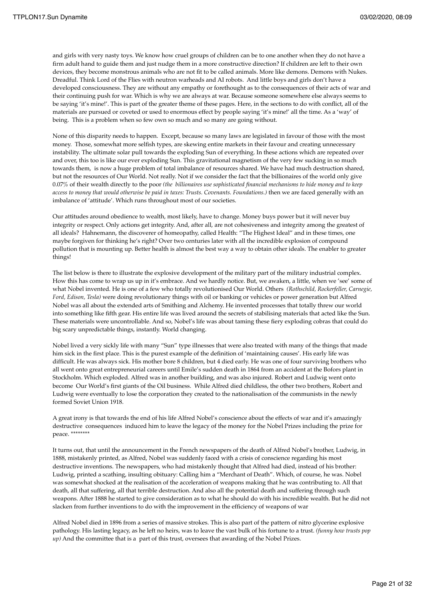and girls with very nasty toys. We know how cruel groups of children can be to one another when they do not have a firm adult hand to guide them and just nudge them in a more constructive direction? If children are left to their own devices, they become monstrous animals who are not fit to be called animals. More like demons. Demons with Nukes. Dreadful. Think Lord of the Flies with neutron warheads and AI robots. And little boys and girls don't have a developed consciousness. They are without any empathy or forethought as to the consequences of their acts of war and their continuing push for war. Which is why we are always at war. Because someone somewhere else always seems to be saying 'it's mine!'. This is part of the greater theme of these pages. Here, in the sections to do with conflict, all of the materials are pursued or coveted or used to enormous effect by people saying 'it's mine!' all the time. As a 'way' of being. This is a problem when so few own so much and so many are going without.

None of this disparity needs to happen. Except, because so many laws are legislated in favour of those with the most money. Those, somewhat more selfish types, are skewing entire markets in their favour and creating unnecessary instability. The ultimate solar pull towards the exploding Sun of everything. In these actions which are repeated over and over, this too is like our ever exploding Sun. This gravitational magnetism of the very few sucking in so much towards them, is now a huge problem of total imbalance of resources shared. We have had much destruction shared, but not the resources of Our World. Not really. Not if we consider the fact that the billionaires of the world only give 0.07% of their wealth directly to the poor *(the billionaires use sophisticated financial mechanisms to hide money and to keep access to money that would otherwise be paid in taxes: Trusts. Covenants. Foundations.)* then we are faced generally with an imbalance of 'attitude'. Which runs throughout most of our societies.

Our attitudes around obedience to wealth, most likely, have to change. Money buys power but it will never buy integrity or respect. Only actions get integrity. And, after all, are not cohesiveness and integrity among the greatest of all ideals? Hahnemann, the discoverer of homeopathy, called Health: "The Highest Ideal" and in these times, one maybe forgiven for thinking he's right? Over two centuries later with all the incredible explosion of compound pollution that is mounting up. Better health is almost the best way a way to obtain other ideals. The enabler to greater things!

The list below is there to illustrate the explosive development of the military part of the military industrial complex. How this has come to wrap us up in it's embrace. And we hardly notice. But, we awaken, a little, when we 'see' some of what Nobel invented. He is one of a few who totally revolutionised Our World. Others *(Rothschild, Rockerfeller, Carnegie, Ford, Edison, Tesla)* were doing revolutionary things with oil or banking or vehicles or power generation but Alfred Nobel was all about the extended arts of Smithing and Alchemy. He invented processes that totally threw our world into something like fifth gear. His entire life was lived around the secrets of stabilising materials that acted like the Sun. These materials were uncontrollable. And so, Nobel's life was about taming these fiery exploding cobras that could do big scary unpredictable things, instantly. World changing.

Nobel lived a very sickly life with many "Sun" type illnesses that were also treated with many of the things that made him sick in the first place. This is the purest example of the definition of 'maintaining causes'. His early life was difficult. He was always sick. His mother bore 8 children, but 4 died early. He was one of four surviving brothers who all went onto great entrepreneurial careers until Emile's sudden death in 1864 from an accident at the Bofors plant in Stockholm. Which exploded. Alfred was in another building, and was also injured. Robert and Ludwig went onto become Our World's first giants of the Oil business. While Alfred died childless, the other two brothers, Robert and Ludwig were eventually to lose the corporation they created to the nationalisation of the communists in the newly formed Soviet Union 1918.

A great irony is that towards the end of his life Alfred Nobel's conscience about the effects of war and it's amazingly destructive consequences induced him to leave the legacy of the money for the Nobel Prizes including the prize for peace. \*\*\*\*\*\*\*\*

It turns out, that until the announcement in the French newspapers of the death of Alfred Nobel's brother, Ludwig, in 1888, mistakenly printed, as Alfred, Nobel was suddenly faced with a crisis of conscience regarding his most destructive inventions. The newspapers, who had mistakenly thought that Alfred had died, instead of his brother: Ludwig, printed a scathing, insulting obituary: Calling him a "Merchant of Death". Which, of course, he was. Nobel was somewhat shocked at the realisation of the acceleration of weapons making that he was contributing to. All that death, all that suffering, all that terrible destruction. And also all the potential death and suffering through such weapons. After 1888 he started to give consideration as to what he should do with his incredible wealth. But he did not slacken from further inventions to do with the improvement in the efficiency of weapons of war

Alfred Nobel died in 1896 from a series of massive strokes. This is also part of the pattern of nitro glycerine explosive pathology. His lasting legacy, as he left no heirs, was to leave the vast bulk of his fortune to a trust. *(funny how trusts pop up)* And the committee that is a part of this trust, oversees that awarding of the Nobel Prizes.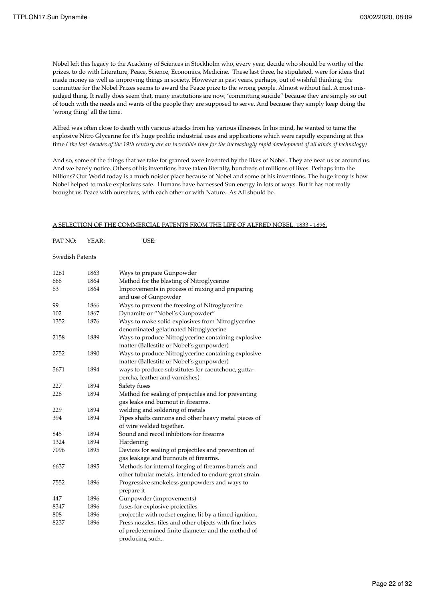Nobel left this legacy to the Academy of Sciences in Stockholm who, every year, decide who should be worthy of the prizes, to do with Literature, Peace, Science, Economics, Medicine. These last three, he stipulated, were for ideas that made money as well as improving things in society. However in past years, perhaps, out of wishful thinking, the committee for the Nobel Prizes seems to award the Peace prize to the wrong people. Almost without fail. A most misjudged thing. It really does seem that, many institutions are now, 'committing suicide" because they are simply so out of touch with the needs and wants of the people they are supposed to serve. And because they simply keep doing the 'wrong thing' all the time.

Alfred was often close to death with various attacks from his various illnesses. In his mind, he wanted to tame the explosive Nitro Glycerine for it's huge prolific industrial uses and applications which were rapidly expanding at this time *( the last decades of the 19th century are an incredible time for the increasingly rapid development of all kinds of technology)*

And so, some of the things that we take for granted were invented by the likes of Nobel. They are near us or around us. And we barely notice. Others of his inventions have taken literally, hundreds of millions of lives. Perhaps into the billions? Our World today is a much noisier place because of Nobel and some of his inventions. The huge irony is how Nobel helped to make explosives safe. Humans have harnessed Sun energy in lots of ways. But it has not really brought us Peace with ourselves, with each other or with Nature. As All should be.

#### A SELECTION OF THE COMMERCIAL PATENTS FROM THE LIFE OF ALFRED NOBEL. 1833 - 1896.

| PAT NO: | YEAR: | USE: |
|---------|-------|------|
|         |       |      |

### Swedish Patents

| 1261 | 1863 | Ways to prepare Gunpowder                               |  |
|------|------|---------------------------------------------------------|--|
| 668  | 1864 | Method for the blasting of Nitroglycerine               |  |
| 63   | 1864 | Improvements in process of mixing and preparing         |  |
|      |      | and use of Gunpowder                                    |  |
| 99   | 1866 | Ways to prevent the freezing of Nitroglycerine          |  |
| 102  | 1867 | Dynamite or "Nobel's Gunpowder"                         |  |
| 1352 | 1876 | Ways to make solid explosives from Nitroglycerine       |  |
|      |      | denominated gelatinated Nitroglycerine                  |  |
| 2158 | 1889 | Ways to produce Nitroglycerine containing explosive     |  |
|      |      | matter (Ballestite or Nobel's gunpowder)                |  |
| 2752 | 1890 | Ways to produce Nitroglycerine containing explosive     |  |
|      |      | matter (Ballestite or Nobel's gunpowder)                |  |
| 5671 | 1894 | ways to produce substitutes for caoutchouc, gutta-      |  |
|      |      | percha, leather and varnishes)                          |  |
| 227  | 1894 | Safety fuses                                            |  |
| 228  | 1894 | Method for sealing of projectiles and for preventing    |  |
|      |      | gas leaks and burnout in firearms.                      |  |
| 229  | 1894 | welding and soldering of metals                         |  |
| 394  | 1894 | Pipes shafts cannons and other heavy metal pieces of    |  |
|      |      | of wire welded together.                                |  |
| 845  | 1894 | Sound and recoil inhibitors for firearms                |  |
| 1324 | 1894 | Hardening                                               |  |
| 7096 | 1895 | Devices for sealing of projectiles and prevention of    |  |
|      |      | gas leakage and burnouts of firearms.                   |  |
| 6637 | 1895 | Methods for internal forging of firearms barrels and    |  |
|      |      | other tubular metals, intended to endure great strain.  |  |
| 7552 | 1896 | Progressive smokeless gunpowders and ways to            |  |
|      |      | prepare it                                              |  |
| 447  | 1896 | Gunpowder (improvements)                                |  |
| 8347 | 1896 | fuses for explosive projectiles                         |  |
| 808  | 1896 | projectile with rocket engine, lit by a timed ignition. |  |
| 8237 | 1896 | Press nozzles, tiles and other objects with fine holes  |  |
|      |      | of predetermined finite diameter and the method of      |  |
|      |      | producing such                                          |  |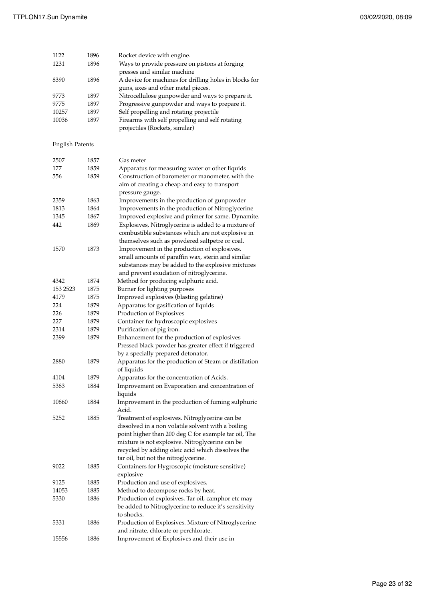| 1122  | 1896 | Rocket device with engine.                             |
|-------|------|--------------------------------------------------------|
| 1231  | 1896 | Ways to provide pressure on pistons at forging         |
|       |      | presses and similar machine                            |
| 8390  | 1896 | A device for machines for drilling holes in blocks for |
|       |      | guns, axes and other metal pieces.                     |
| 9773  | 1897 | Nitrocellulose gunpowder and ways to prepare it.       |
| 9775  | 1897 | Progressive gunpowder and ways to prepare it.          |
| 10257 | 1897 | Self propelling and rotating projectile                |
| 10036 | 1897 | Firearms with self propelling and self rotating        |
|       |      | projectiles (Rockets, similar)                         |

## English Patents

| 2507     | 1857 | Gas meter                                                                                                |
|----------|------|----------------------------------------------------------------------------------------------------------|
| 177      | 1859 | Apparatus for measuring water or other liquids                                                           |
| 556      | 1859 | Construction of barometer or manometer, with the                                                         |
|          |      | aim of creating a cheap and easy to transport                                                            |
|          |      | pressure gauge.                                                                                          |
| 2359     | 1863 | Improvements in the production of gunpowder                                                              |
| 1813     | 1864 | Improvements in the production of Nitroglycerine                                                         |
| 1345     | 1867 | Improved explosive and primer for same. Dynamite.                                                        |
| 442      | 1869 | Explosives, Nitroglycerine is added to a mixture of<br>combustible substances which are not explosive in |
|          |      | themselves such as powdered saltpetre or coal.                                                           |
| 1570     | 1873 | Improvement in the production of explosives.                                                             |
|          |      | small amounts of paraffin wax, sterin and similar                                                        |
|          |      | substances may be added to the explosive mixtures                                                        |
| 4342     | 1874 | and prevent exudation of nitroglycerine.<br>Method for producing sulphuric acid.                         |
| 153 2523 | 1875 |                                                                                                          |
| 4179     | 1875 | Burner for lighting purposes                                                                             |
| 224      | 1879 | Improved explosives (blasting gelatine)                                                                  |
| 226      | 1879 | Apparatus for gasification of liquids<br>Production of Explosives                                        |
| 227      | 1879 | Container for hydroscopic explosives                                                                     |
| 2314     | 1879 | Purification of pig iron.                                                                                |
| 2399     | 1879 | Enhancement for the production of explosives                                                             |
|          |      | Pressed black powder has greater effect if triggered                                                     |
|          |      | by a specially prepared detonator.                                                                       |
|          |      |                                                                                                          |
| 2880     | 1879 | Apparatus for the production of Steam or distillation<br>of liquids                                      |
| 4104     | 1879 | Apparatus for the concentration of Acids.                                                                |
| 5383     | 1884 | Improvement on Evaporation and concentration of                                                          |
|          |      | liquids                                                                                                  |
| 10860    | 1884 | Improvement in the production of fuming sulphuric<br>Acid.                                               |
| 5252     | 1885 | Treatment of explosives. Nitroglycerine can be                                                           |
|          |      | dissolved in a non volatile solvent with a boiling                                                       |
|          |      | point higher than 200 deg C for example tar oil, The                                                     |
|          |      | mixture is not explosive. Nitroglycerine can be                                                          |
|          |      | recycled by adding oleic acid which dissolves the                                                        |
|          |      | tar oil, but not the nitroglycerine.                                                                     |
| 9022     | 1885 | Containers for Hygroscopic (moisture sensitive)                                                          |
|          |      | explosive                                                                                                |
| 9125     | 1885 | Production and use of explosives.                                                                        |
| 14053    | 1885 | Method to decompose rocks by heat.                                                                       |
| 5330     | 1886 | Production of explosives. Tar oil, camphor etc may                                                       |
|          |      | be added to Nitroglycerine to reduce it's sensitivity                                                    |
|          |      | to shocks.                                                                                               |
| 5331     | 1886 | Production of Explosives. Mixture of Nitroglycerine                                                      |
|          |      | and nitrate, chlorate or perchlorate.                                                                    |
| 15556    | 1886 | Improvement of Explosives and their use in                                                               |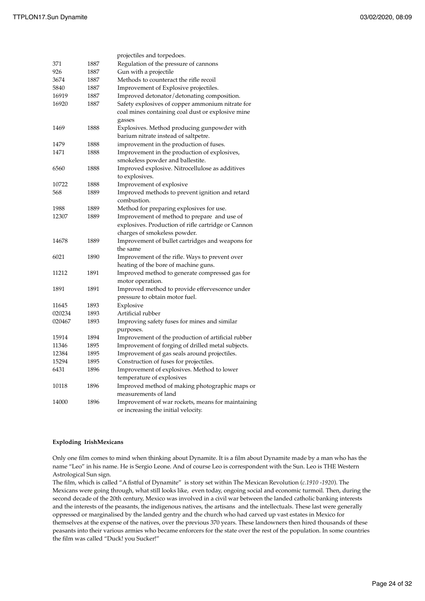|        |      | projectiles and torpedoes.                                  |  |
|--------|------|-------------------------------------------------------------|--|
| 371    | 1887 | Regulation of the pressure of cannons                       |  |
| 926    | 1887 | Gun with a projectile                                       |  |
| 3674   | 1887 | Methods to counteract the rifle recoil                      |  |
| 5840   | 1887 | Improvement of Explosive projectiles.                       |  |
| 16919  | 1887 | Improved detonator/detonating composition.                  |  |
| 16920  | 1887 | Safety explosives of copper ammonium nitrate for            |  |
|        |      | coal mines containing coal dust or explosive mine<br>gasses |  |
| 1469   | 1888 | Explosives. Method producing gunpowder with                 |  |
|        |      | barium nitrate instead of saltpetre.                        |  |
| 1479   | 1888 | improvement in the production of fuses.                     |  |
| 1471   | 1888 | Improvement in the production of explosives,                |  |
|        |      | smokeless powder and ballestite.                            |  |
| 6560   | 1888 | Improved explosive. Nitrocellulose as additives             |  |
|        |      | to explosives.                                              |  |
| 10722  | 1888 | Improvement of explosive                                    |  |
| 568    | 1889 | Improved methods to prevent ignition and retard             |  |
|        |      | combustion.                                                 |  |
| 1988   | 1889 | Method for preparing explosives for use.                    |  |
| 12307  | 1889 | Improvement of method to prepare and use of                 |  |
|        |      | explosives. Production of rifle cartridge or Cannon         |  |
|        |      | charges of smokeless powder.                                |  |
| 14678  | 1889 | Improvement of bullet cartridges and weapons for            |  |
|        |      | the same                                                    |  |
| 6021   | 1890 | Improvement of the rifle. Ways to prevent over              |  |
|        |      | heating of the bore of machine guns.                        |  |
| 11212  | 1891 | Improved method to generate compressed gas for              |  |
|        |      | motor operation.                                            |  |
| 1891   | 1891 | Improved method to provide effervescence under              |  |
|        |      | pressure to obtain motor fuel.                              |  |
| 11645  | 1893 | Explosive                                                   |  |
| 020234 | 1893 | Artificial rubber                                           |  |
| 020467 | 1893 | Improving safety fuses for mines and similar<br>purposes.   |  |
| 15914  | 1894 | Improvement of the production of artificial rubber          |  |
| 11346  | 1895 | Improvement of forging of drilled metal subjects.           |  |
| 12384  | 1895 | Improvement of gas seals around projectiles.                |  |
| 15294  | 1895 | Construction of fuses for projectiles.                      |  |
| 6431   | 1896 | Improvement of explosives. Method to lower                  |  |
|        |      | temperature of explosives                                   |  |
| 10118  | 1896 | Improved method of making photographic maps or              |  |
|        |      | measurements of land                                        |  |
| 14000  | 1896 | Improvement of war rockets, means for maintaining           |  |
|        |      | or increasing the initial velocity.                         |  |

### **Exploding IrishMexicans**

Only one film comes to mind when thinking about Dynamite. It is a film about Dynamite made by a man who has the name "Leo" in his name. He is Sergio Leone. And of course Leo is correspondent with the Sun. Leo is THE Western Astrological Sun sign.

The film, which is called "A fistful of Dynamite" is story set within The Mexican Revolution (*c.1910 -1920*). The Mexicans were going through, what still looks like, even today, ongoing social and economic turmoil. Then, during the second decade of the 20th century, Mexico was involved in a civil war between the landed catholic banking interests and the interests of the peasants, the indigenous natives, the artisans and the intellectuals. These last were generally oppressed or marginalised by the landed gentry and the church who had carved up vast estates in Mexico for themselves at the expense of the natives, over the previous 370 years. These landowners then hired thousands of these peasants into their various armies who became enforcers for the state over the rest of the population. In some countries the film was called "Duck! you Sucker!"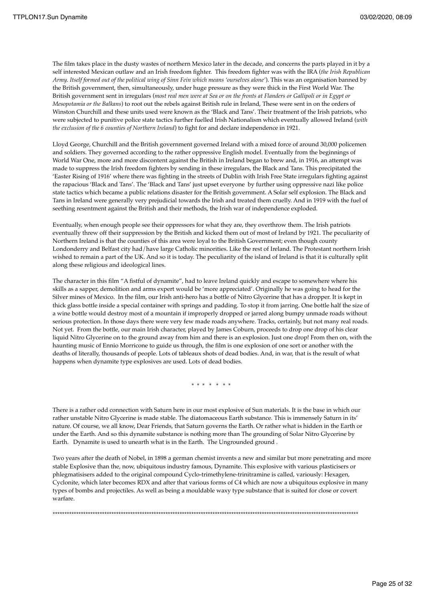The film takes place in the dusty wastes of northern Mexico later in the decade, and concerns the parts played in it by a self interested Mexican outlaw and an Irish freedom fighter. This freedom fighter was with the IRA (*the Irish Republican Army. Itself formed out of the political wing of Sinn Fein which means 'ourselves alone'*). This was an organisation banned by the British government, then, simultaneously, under huge pressure as they were thick in the First World War. The British government sent in irregulars (*most real men were at Sea or on the fronts at Flanders or Gallipoli or in Egypt or Mesopotamia or the Balkans*) to root out the rebels against British rule in Ireland, These were sent in on the orders of Winston Churchill and these units used were known as the 'Black and Tans'. Their treatment of the Irish patriots, who were subjected to punitive police state tactics further fuelled Irish Nationalism which eventually allowed Ireland (*with the exclusion of the 6 counties of Northern Ireland*) to fight for and declare independence in 1921.

Lloyd George, Churchill and the British government governed Ireland with a mixed force of around 30,000 policemen and soldiers. They governed according to the rather oppressive English model. Eventually from the beginnings of World War One, more and more discontent against the British in Ireland began to brew and, in 1916, an attempt was made to suppress the Irish freedom fighters by sending in these irregulars, the Black and Tans. This precipitated the 'Easter Rising of 1916' where there was fighting in the streets of Dublin with Irish Free State irregulars fighting against the rapacious 'Black and Tans'. The 'Black and Tans' just upset everyone by further using oppressive nazi like police state tactics which became a public relations disaster for the British government. A Solar self explosion. The Black and Tans in Ireland were generally very prejudicial towards the Irish and treated them cruelly. And in 1919 with the fuel of seething resentment against the British and their methods, the Irish war of independence exploded.

Eventually, when enough people see their oppressors for what they are, they overthrow them. The Irish patriots eventually threw off their suppression by the British and kicked them out of most of Ireland by 1921. The peculiarity of Northern Ireland is that the counties of this area were loyal to the British Government; even though county Londonderry and Belfast city had/have large Catholic minorities. Like the rest of Ireland. The Protestant northern Irish wished to remain a part of the UK. And so it is today. The peculiarity of the island of Ireland is that it is culturally split along these religious and ideological lines.

The character in this film "A fistful of dynamite", had to leave Ireland quickly and escape to somewhere where his skills as a sapper, demolition and arms expert would be 'more appreciated'. Originally he was going to head for the Silver mines of Mexico. In the film, our Irish anti-hero has a bottle of Nitro Glycerine that has a dropper. It is kept in thick glass bottle inside a special container with springs and padding. To stop it from jarring. One bottle half the size of a wine bottle would destroy most of a mountain if improperly dropped or jarred along bumpy unmade roads without serious protection. In those days there were very few made roads anywhere. Tracks, certainly, but not many real roads. Not yet. From the bottle, our main Irish character, played by James Coburn, proceeds to drop one drop of his clear liquid Nitro Glycerine on to the ground away from him and there is an explosion. Just one drop! From then on, with the haunting music of Ennio Morricone to guide us through, the film is one explosion of one sort or another with the deaths of literally, thousands of people. Lots of tableaux shots of dead bodies. And, in war, that is the result of what happens when dynamite type explosives are used. Lots of dead bodies.

\* \* \* \* \* \* \*

There is a rather odd connection with Saturn here in our most explosive of Sun materials. It is the base in which our rather unstable Nitro Glycerine is made stable. The diatomaceous Earth substance. This is immensely Saturn in its' nature. Of course, we all know, Dear Friends, that Saturn governs the Earth. Or rather what is hidden in the Earth or under the Earth. And so this dynamite substance is nothing more than The grounding of Solar Nitro Glycerine by Earth. Dynamite is used to unearth what is in the Earth. The Ungrounded ground .

Two years after the death of Nobel, in 1898 a german chemist invents a new and similar but more penetrating and more stable Explosive than the, now, ubiquitous industry famous, Dynamite. This explosive with various plasticisers or phlegmatisisers added to the original compound Cyclo-trimethylene-trinitramine is called, variously: Hexagen, Cyclonite, which later becomes RDX and after that various forms of C4 which are now a ubiquitous explosive in many types of bombs and projectiles. As well as being a mouldable waxy type substance that is suited for close or covert warfare.

\*\*\*\*\*\*\*\*\*\*\*\*\*\*\*\*\*\*\*\*\*\*\*\*\*\*\*\*\*\*\*\*\*\*\*\*\*\*\*\*\*\*\*\*\*\*\*\*\*\*\*\*\*\*\*\*\*\*\*\*\*\*\*\*\*\*\*\*\*\*\*\*\*\*\*\*\*\*\*\*\*\*\*\*\*\*\*\*\*\*\*\*\*\*\*\*\*\*\*\*\*\*\*\*\*\*\*\*\*\*\*\*\*\*\*\*\*\*\*\*\*\*\*\*\*\*\*\*\*\*

Page 25 of 32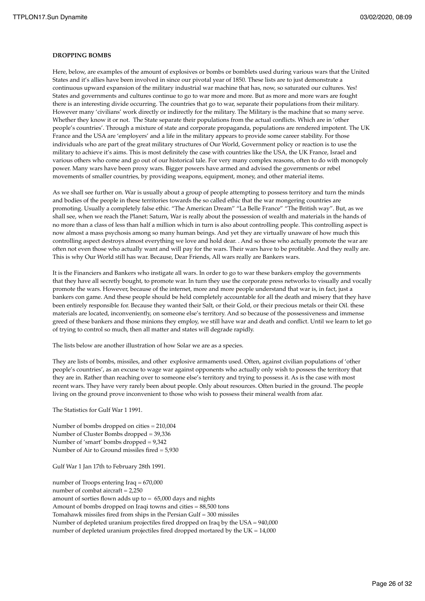#### **DROPPING BOMBS**

Here, below, are examples of the amount of explosives or bombs or bomblets used during various wars that the United States and it's allies have been involved in since our pivotal year of 1850. These lists are to just demonstrate a continuous upward expansion of the military industrial war machine that has, now, so saturated our cultures. Yes! States and governments and cultures continue to go to war more and more. But as more and more wars are fought there is an interesting divide occurring. The countries that go to war, separate their populations from their military. However many 'civilians' work directly or indirectly for the military. The Military is the machine that so many serve. Whether they know it or not. The State separate their populations from the actual conflicts. Which are in 'other people's countries'. Through a mixture of state and corporate propaganda, populations are rendered impotent. The UK France and the USA are 'employers' and a life in the military appears to provide some career stability. For those individuals who are part of the great military structures of Our World, Government policy or reaction is to use the military to achieve it's aims. This is most definitely the case with countries like the USA, the UK France, Israel and various others who come and go out of our historical tale. For very many complex reasons, often to do with monopoly power. Many wars have been proxy wars. Bigger powers have armed and advised the governments or rebel movements of smaller countries, by providing weapons, equipment, money, and other material items.

As we shall see further on. War is usually about a group of people attempting to possess territory and turn the minds and bodies of the people in these territories towards the so called ethic that the war mongering countries are promoting. Usually a completely false ethic. "The American Dream" "La Belle France" "The British way". But, as we shall see, when we reach the Planet: Saturn, War is really about the possession of wealth and materials in the hands of no more than a class of less than half a million which in turn is also about controlling people. This controlling aspect is now almost a mass psychosis among so many human beings. And yet they are virtually unaware of how much this controlling aspect destroys almost everything we love and hold dear. . And so those who actually promote the war are often not even those who actually want and will pay for the wars. Their wars have to be profitable. And they really are. This is why Our World still has war. Because, Dear Friends, All wars really are Bankers wars.

It is the Financiers and Bankers who instigate all wars. In order to go to war these bankers employ the governments that they have all secretly bought, to promote war. In turn they use the corporate press networks to visually and vocally promote the wars. However, because of the internet, more and more people understand that war is, in fact, just a bankers con game. And these people should be held completely accountable for all the death and misery that they have been entirely responsible for. Because they wanted their Salt, or their Gold, or their precious metals or their Oil. these materials are located, inconveniently, on someone else's territory. And so because of the possessiveness and immense greed of these bankers and those minions they employ, we still have war and death and conflict. Until we learn to let go of trying to control so much, then all matter and states will degrade rapidly.

The lists below are another illustration of how Solar we are as a species.

They are lists of bombs, missiles, and other explosive armaments used. Often, against civilian populations of 'other people's countries', as an excuse to wage war against opponents who actually only wish to possess the territory that they are in. Rather than reaching over to someone else's territory and trying to possess it. As is the case with most recent wars. They have very rarely been about people. Only about resources. Often buried in the ground. The people living on the ground prove inconvenient to those who wish to possess their mineral wealth from afar.

The Statistics for Gulf War 1 1991.

Number of bombs dropped on cities = 210,004 Number of Cluster Bombs dropped = 39,336 Number of 'smart' bombs dropped = 9,342 Number of Air to Ground missiles fired = 5,930

Gulf War 1 Jan 17th to February 28th 1991.

number of Troops entering Iraq = 670,000 number of combat aircraft = 2,250 amount of sorties flown adds up to  $= 65,000$  days and nights Amount of bombs dropped on Iraqi towns and cities = 88,500 tons Tomahawk missiles fired from ships in the Persian Gulf = 300 missiles Number of depleted uranium projectiles fired dropped on Iraq by the USA = 940,000 number of depleted uranium projectiles fired dropped mortared by the  $UK = 14,000$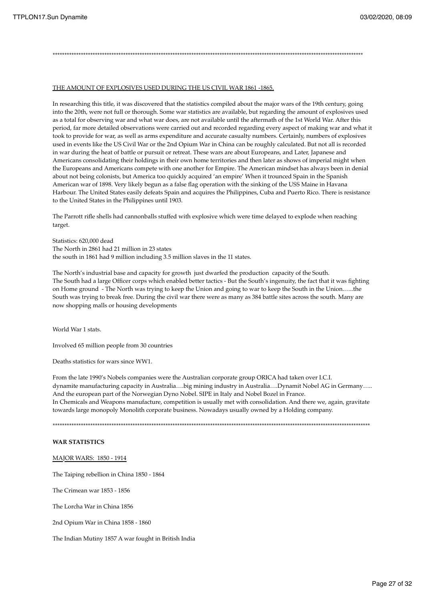### THE AMOUNT OF EXPLOSIVES USED DURING THE US CIVIL WAR 1861 -1865.

In researching this title, it was discovered that the statistics compiled about the major wars of the 19th century, going into the 20th, were not full or thorough. Some war statistics are available, but regarding the amount of explosives used as a total for observing war and what war does, are not available until the aftermath of the 1st World War. After this period, far more detailed observations were carried out and recorded regarding every aspect of making war and what it took to provide for war, as well as arms expenditure and accurate casualty numbers. Certainly, numbers of explosives used in events like the US Civil War or the 2nd Opium War in China can be roughly calculated. But not all is recorded in war during the heat of battle or pursuit or retreat. These wars are about Europeans, and Later, Japanese and Americans consolidating their holdings in their own home territories and then later as shows of imperial might when the Europeans and Americans compete with one another for Empire. The American mindset has always been in denial about not being colonists, but America too quickly acquired 'an empire' When it trounced Spain in the Spanish American war of 1898. Very likely begun as a false flag operation with the sinking of the USS Maine in Havana Harbour. The United States easily defeats Spain and acquires the Philippines, Cuba and Puerto Rico. There is resistance to the United States in the Philippines until 1903.

\*\*\*\*\*\*\*\*\*\*\*\*\*\*\*\*\*\*\*\*\*\*\*\*\*\*\*\*\*\*\*\*\*\*\*\*\*\*\*\*\*\*\*\*\*\*\*\*\*\*\*\*\*\*\*\*\*\*\*\*\*\*\*\*\*\*\*\*\*\*\*\*\*\*\*\*\*\*\*\*\*\*\*\*\*\*\*\*\*\*\*\*\*\*\*\*\*\*\*\*\*\*\*\*\*\*\*\*\*\*\*\*\*\*\*\*\*\*\*\*\*\*\*\*\*\*\*\*\*\*\*\*

The Parrott rifle shells had cannonballs stuffed with explosive which were time delayed to explode when reaching target.

Statistics: 620,000 dead The North in 2861 had 21 million in 23 states the south in 1861 had 9 million including 3.5 million slaves in the 11 states.

The North's industrial base and capacity for growth just dwarfed the production capacity of the South. The South had a large Officer corps which enabled better tactics - But the South's ingenuity, the fact that it was fighting on Home ground - The North was trying to keep the Union and going to war to keep the South in the Union.…..the South was trying to break free. During the civil war there were as many as 384 battle sites across the south. Many are now shopping malls or housing developments

World War 1 stats.

Involved 65 million people from 30 countries

Deaths statistics for wars since WW1.

From the late 1990's Nobels companies were the Australian corporate group ORICA had taken over I.C.I. dynamite manufacturing capacity in Australia….big mining industry in Australia….Dynamit Nobel AG in Germany….. And the european part of the Norwegian Dyno Nobel. SIPE in Italy and Nobel Bozel in France. In Chemicals and Weapons manufacture, competition is usually met with consolidation. And there we, again, gravitate towards large monopoly Monolith corporate business. Nowadays usually owned by a Holding company.

\*\*\*\*\*\*\*\*\*\*\*\*\*\*\*\*\*\*\*\*\*\*\*\*\*\*\*\*\*\*\*\*\*\*\*\*\*\*\*\*\*\*\*\*\*\*\*\*\*\*\*\*\*\*\*\*\*\*\*\*\*\*\*\*\*\*\*\*\*\*\*\*\*\*\*\*\*\*\*\*\*\*\*\*\*\*\*\*\*\*\*\*\*\*\*\*\*\*\*\*\*\*\*\*\*\*\*\*\*\*\*\*\*\*\*\*\*\*\*\*\*\*\*\*\*\*\*\*\*\*\*\*\*\*\*

### **WAR STATISTICS**

MAJOR WARS: 1850 - 1914

The Taiping rebellion in China 1850 - 1864

The Crimean war 1853 - 1856

The Lorcha War in China 1856

2nd Opium War in China 1858 - 1860

The Indian Mutiny 1857 A war fought in British India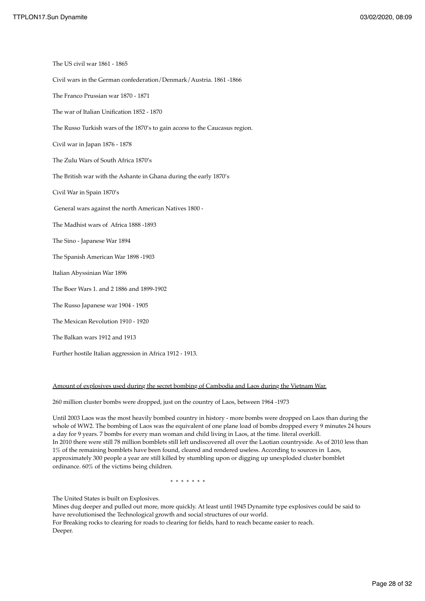The US civil war 1861 - 1865 Civil wars in the German confederation/Denmark/Austria. 1861 -1866 The Franco Prussian war 1870 - 1871 The war of Italian Unification 1852 - 1870 The Russo Turkish wars of the 1870's to gain access to the Caucasus region. Civil war in Japan 1876 - 1878 The Zulu Wars of South Africa 1870's The British war with the Ashante in Ghana during the early 1870's Civil War in Spain 1870's General wars against the north American Natives 1800 - The Madhist wars of Africa 1888 -1893 The Sino - Japanese War 1894 The Spanish American War 1898 -1903 Italian Abyssinian War 1896 The Boer Wars 1. and 2 1886 and 1899-1902 The Russo Japanese war 1904 - 1905 The Mexican Revolution 1910 - 1920 The Balkan wars 1912 and 1913 Further hostile Italian aggression in Africa 1912 - 1913.

### Amount of explosives used during the secret bombing of Cambodia and Laos during the Vietnam War.

260 million cluster bombs were dropped, just on the country of Laos, between 1964 -1973

Until 2003 Laos was the most heavily bombed country in history - more bombs were dropped on Laos than during the whole of WW2. The bombing of Laos was the equivalent of one plane load of bombs dropped every 9 minutes 24 hours a day for 9 years. 7 bombs for every man woman and child living in Laos, at the time. literal overkill. In 2010 there were still 78 million bomblets still left undiscovered all over the Laotian countryside. As of 2010 less than 1% of the remaining bomblets have been found, cleared and rendered useless. According to sources in Laos, approximately 300 people a year are still killed by stumbling upon or digging up unexploded cluster bomblet ordinance. 60% of the victims being children.

\* \* \* \* \* \* \*

The United States is built on Explosives.

Mines dug deeper and pulled out more, more quickly. At least until 1945 Dynamite type explosives could be said to have revolutionised the Technological growth and social structures of our world. For Breaking rocks to clearing for roads to clearing for fields, hard to reach became easier to reach.

Deeper.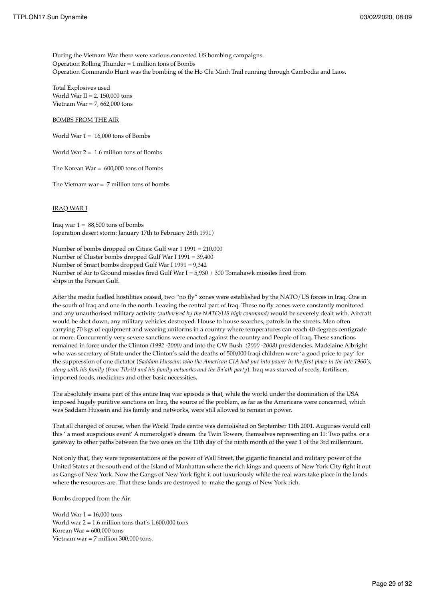During the Vietnam War there were various concerted US bombing campaigns. Operation Rolling Thunder = 1 million tons of Bombs Operation Commando Hunt was the bombing of the Ho Chi Minh Trail running through Cambodia and Laos.

Total Explosives used World War II =  $2, 150,000$  tons Vietnam War =  $7,662,000$  tons

### BOMBS FROM THE AIR

World War  $1 = 16,000$  tons of Bombs

World War  $2 = 1.6$  million tons of Bombs

The Korean War  $= 600,000$  tons of Bombs

The Vietnam war  $= 7$  million tons of bombs

### IRAQ WAR I

Iraq war  $1 = 88,500$  tons of bombs (operation desert storm: January 17th to February 28th 1991)

Number of bombs dropped on Cities: Gulf war 1 1991 = 210,000 Number of Cluster bombs dropped Gulf War I 1991 = 39,400 Number of Smart bombs dropped Gulf War I 1991 = 9,342 Number of Air to Ground missiles fired Gulf War  $I = 5,930 + 300$  Tomahawk missiles fired from ships in the Persian Gulf.

After the media fuelled hostilities ceased, two "no fly" zones were established by the NATO/US forces in Iraq. One in the south of Iraq and one in the north. Leaving the central part of Iraq. These no fly zones were constantly monitored and any unauthorised military activity *(authorised by the NATO/US high command)* would be severely dealt with. Aircraft would be shot down, any military vehicles destroyed. House to house searches, patrols in the streets. Men often carrying 70 kgs of equipment and wearing uniforms in a country where temperatures can reach 40 degrees centigrade or more. Concurrently very severe sanctions were enacted against the country and People of Iraq. These sanctions remained in force under the Clinton *(1992 -2000)* and into the GW Bush *(2000 -2008)* presidencies. Madelaine Albright who was secretary of State under the Clinton's said the deaths of 500,000 Iraqi children were 'a good price to pay' for the suppression of one dictator (*Saddam Hussein: who the American CIA had put into power in the first place in the late 1960's, along with his family (from Tikrit) and his family networks and the Ba'ath party*). Iraq was starved of seeds, fertilisers, imported foods, medicines and other basic necessities.

The absolutely insane part of this entire Iraq war episode is that, while the world under the domination of the USA imposed hugely punitive sanctions on Iraq, the source of the problem, as far as the Americans were concerned, which was Saddam Hussein and his family and networks, were still allowed to remain in power.

That all changed of course, when the World Trade centre was demolished on September 11th 2001. Auguries would call this ' a most auspicious event' A numerolgist's dream. the Twin Towers, themselves representing an 11: Two paths. or a gateway to other paths between the two ones on the 11th day of the ninth month of the year 1 of the 3rd millennium.

Not only that, they were representations of the power of Wall Street, the gigantic financial and military power of the United States at the south end of the Island of Manhattan where the rich kings and queens of New York City fight it out as Gangs of New York. Now the Gangs of New York fight it out luxuriously while the real wars take place in the lands where the resources are. That these lands are destroyed to make the gangs of New York rich.

Bombs dropped from the Air.

World War  $1 = 16,000$  tons World war  $2 = 1.6$  million tons that's  $1,600,000$  tons Korean  $War = 600,000$  tons Vietnam war = 7 million 300,000 tons.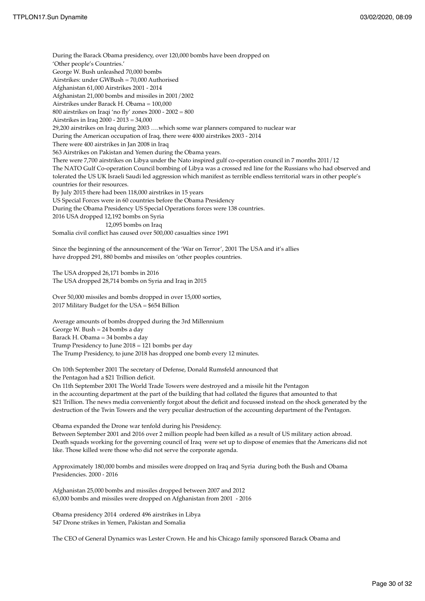During the Barack Obama presidency, over 120,000 bombs have been dropped on 'Other people's Countries.' George W. Bush unleashed 70,000 bombs Airstrikes: under GWBush = 70,000 Authorised Afghanistan 61,000 Airstrikes 2001 - 2014 Afghanistan 21,000 bombs and missiles in 2001/2002 Airstrikes under Barack H. Obama = 100,000 800 airstrikes on Iraqi 'no fly' zones 2000 - 2002 = 800 Airstrikes in Iraq 2000 - 2013 = 34,000 29,200 airstrikes on Iraq during 2003 ….which some war planners compared to nuclear war During the American occupation of Iraq, there were 4000 airstrikes 2003 - 2014 There were 400 airstrikes in Jan 2008 in Iraq 563 Airstrikes on Pakistan and Yemen during the Obama years. There were 7,700 airstrikes on Libya under the Nato inspired gulf co-operation council in 7 months 2011/12 The NATO Gulf Co-operation Council bombing of Libya was a crossed red line for the Russians who had observed and tolerated the US UK Israeli Saudi led aggression which manifest as terrible endless territorial wars in other people's countries for their resources. By July 2015 there had been 118,000 airstrikes in 15 years US Special Forces were in 60 countries before the Obama Presidency During the Obama Presidency US Special Operations forces were 138 countries. 2016 USA dropped 12,192 bombs on Syria 12,095 bombs on Iraq Somalia civil conflict has caused over 500,000 casualties since 1991

Since the beginning of the announcement of the 'War on Terror', 2001 The USA and it's allies have dropped 291, 880 bombs and missiles on 'other peoples countries.

The USA dropped 26,171 bombs in 2016 The USA dropped 28,714 bombs on Syria and Iraq in 2015

Over 50,000 missiles and bombs dropped in over 15,000 sorties, 2017 Military Budget for the USA = \$654 Billion

Average amounts of bombs dropped during the 3rd Millennium George W. Bush = 24 bombs a day Barack H. Obama = 34 bombs a day Trump Presidency to June 2018 = 121 bombs per day The Trump Presidency, to june 2018 has dropped one bomb every 12 minutes.

On 10th September 2001 The secretary of Defense, Donald Rumsfeld announced that the Pentagon had a \$21 Trillion deficit.

On 11th September 2001 The World Trade Towers were destroyed and a missile hit the Pentagon in the accounting department at the part of the building that had collated the figures that amounted to that \$21 Trillion. The news media conveniently forgot about the deficit and focussed instead on the shock generated by the destruction of the Twin Towers and the very peculiar destruction of the accounting department of the Pentagon.

Obama expanded the Drone war tenfold during his Presidency. Between September 2001 and 2016 over 2 million people had been killed as a result of US military action abroad. Death squads working for the governing council of Iraq were set up to dispose of enemies that the Americans did not like. Those killed were those who did not serve the corporate agenda.

Approximately 180,000 bombs and missiles were dropped on Iraq and Syria during both the Bush and Obama Presidencies. 2000 - 2016

Afghanistan 25,000 bombs and missiles dropped between 2007 and 2012 63,000 bombs and missiles were dropped on Afghanistan from 2001 - 2016

Obama presidency 2014 ordered 496 airstrikes in Libya 547 Drone strikes in Yemen, Pakistan and Somalia

The CEO of General Dynamics was Lester Crown. He and his Chicago family sponsored Barack Obama and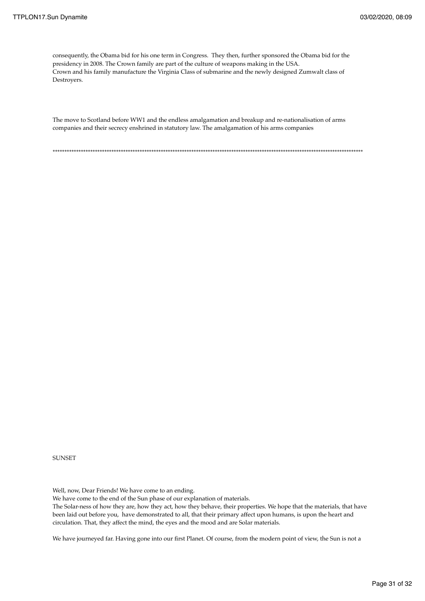consequently, the Obama bid for his one term in Congress. They then, further sponsored the Obama bid for the presidency in 2008. The Crown family are part of the culture of weapons making in the USA. Crown and his family manufacture the Virginia Class of submarine and the newly designed Zumwalt class of Destroyers.

The move to Scotland before WW1 and the endless amalgamation and breakup and re-nationalisation of arms companies and their secrecy enshrined in statutory law. The amalgamation of his arms companies

\*\*\*\*\*\*\*\*\*\*\*\*\*\*\*\*\*\*\*\*\*\*\*\*\*\*\*\*\*\*\*\*\*\*\*\*\*\*\*\*\*\*\*\*\*\*\*\*\*\*\*\*\*\*\*\*\*\*\*\*\*\*\*\*\*\*\*\*\*\*\*\*\*\*\*\*\*\*\*\*\*\*\*\*\*\*\*\*\*\*\*\*\*\*\*\*\*\*\*\*\*\*\*\*\*\*\*\*\*\*\*\*\*\*\*\*\*\*\*\*\*\*\*\*\*\*\*\*\*\*\*\*

**SUNSET** 

Well, now, Dear Friends! We have come to an ending.

We have come to the end of the Sun phase of our explanation of materials.

The Solar-ness of how they are, how they act, how they behave, their properties. We hope that the materials, that have been laid out before you, have demonstrated to all, that their primary affect upon humans, is upon the heart and circulation. That, they affect the mind, the eyes and the mood and are Solar materials.

We have journeyed far. Having gone into our first Planet. Of course, from the modern point of view, the Sun is not a